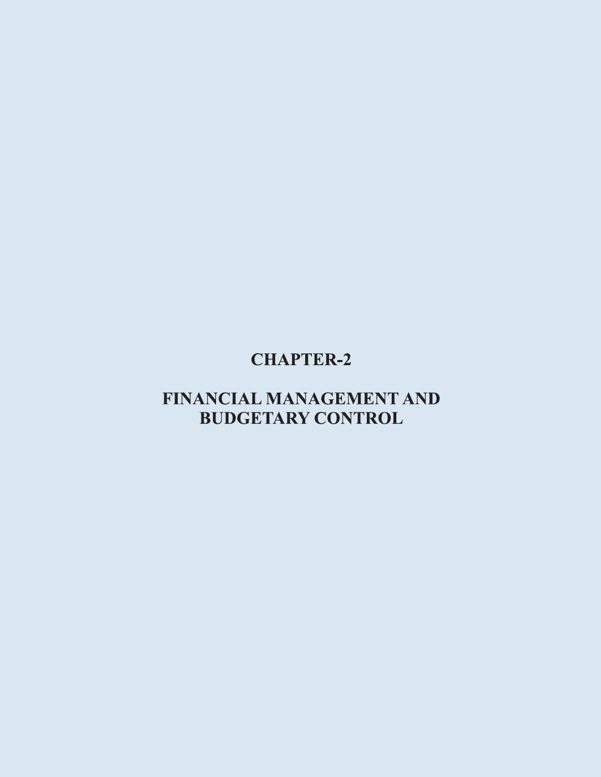# **CHAPTER-2**

# FINANCIAL MANAGEMENT AND **BUDGETARY CONTROL**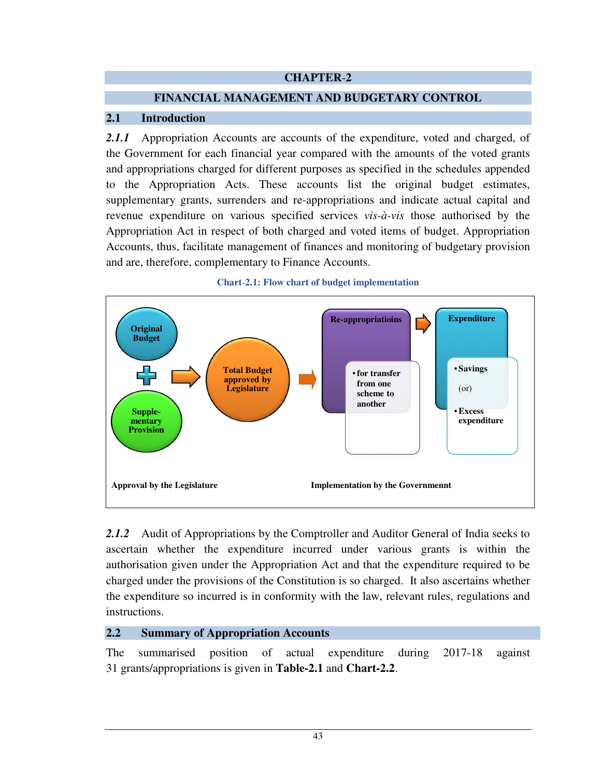# **CHAPTER**-**2**

# **FINANCIAL MANAGEMENT AND BUDGETARY CONTROL**

### **2.1 Introduction**

2.1.1 Appropriation Accounts are accounts of the expenditure, voted and charged, of the Government for each financial year compared with the amounts of the voted grants and appropriations charged for different purposes as specified in the schedules appended to the Appropriation Acts. These accounts list the original budget estimates, supplementary grants, surrenders and re-appropriations and indicate actual capital and revenue expenditure on various specified services *vis-à-vis* those authorised by the Appropriation Act in respect of both charged and voted items of budget. Appropriation Accounts, thus, facilitate management of finances and monitoring of budgetary provision and are, therefore, complementary to Finance Accounts.



### **Chart**-**2.1: Flow chart of budget implementation**

*2.1.2* Audit of Appropriations by the Comptroller and Auditor General of India seeks to ascertain whether the expenditure incurred under various grants is within the authorisation given under the Appropriation Act and that the expenditure required to be charged under the provisions of the Constitution is so charged. It also ascertains whether the expenditure so incurred is in conformity with the law, relevant rules, regulations and instructions.

# **2.2 Summary of Appropriation Accounts**

The summarised position of actual expenditure during 2017-18 against 31 grants/appropriations is given in **Table-2.1** and **Chart-2.2**.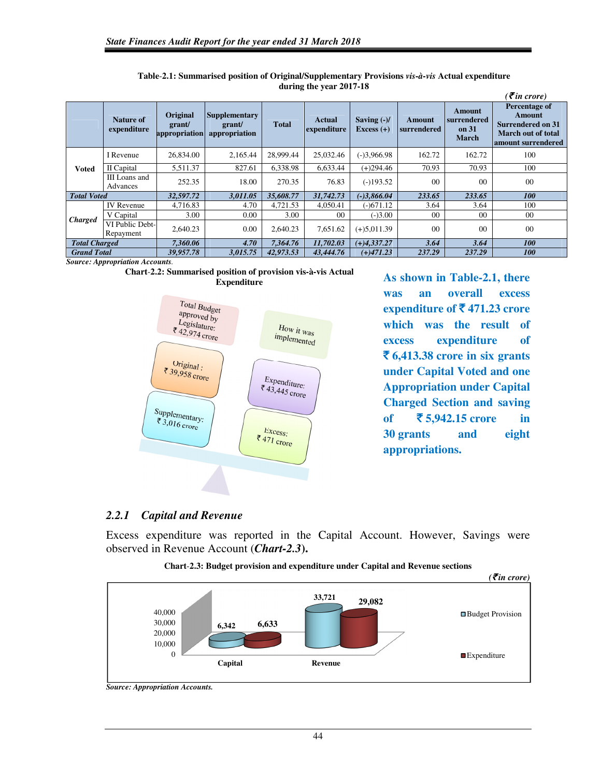|                      |                              |                                     |                                                 |              |                       |                               |                       |                                                       | $\epsilon$ <i>(₹in crore)</i>                                                                          |
|----------------------|------------------------------|-------------------------------------|-------------------------------------------------|--------------|-----------------------|-------------------------------|-----------------------|-------------------------------------------------------|--------------------------------------------------------------------------------------------------------|
|                      | Nature of<br>expenditure     | Original<br>grant/<br>appropriation | <b>Supplementary</b><br>grant/<br>appropriation | <b>Total</b> | Actual<br>expenditure | Saving $(-)/$<br>Excess $(+)$ | Amount<br>surrendered | <b>Amount</b><br>surrendered<br>on 31<br><b>March</b> | Percentage of<br><b>Amount</b><br><b>Surrendered on 31</b><br>March out of total<br>amount surrendered |
|                      | I Revenue                    | 26.834.00                           | 2.165.44                                        | 28,999.44    | 25,032.46             | $(-)3,966.98$                 | 162.72                | 162.72                                                | 100                                                                                                    |
| <b>Voted</b>         | II Capital                   | 5,511.37                            | 827.61                                          | 6.338.98     | 6,633.44              | $(+)294.46$                   | 70.93                 | 70.93                                                 | 100                                                                                                    |
|                      | III Loans and<br>Advances    | 252.35                              | 18.00                                           | 270.35       | 76.83                 | $(-)193.52$                   | 0 <sup>0</sup>        | 0 <sup>0</sup>                                        | $00\,$                                                                                                 |
| <b>Total Voted</b>   |                              | 32,597.72                           | 3,011.05                                        | 35,608.77    | 31,742.73             | $(-)3,866.04$                 | 233.65                | 233.65                                                | <i>100</i>                                                                                             |
|                      | <b>IV</b> Revenue            | 4,716.83                            | 4.70                                            | 4,721.53     | 4,050.41              | $(-)671.12$                   | 3.64                  | 3.64                                                  | 100                                                                                                    |
| <b>Charged</b>       | V Capital                    | 3.00                                | 0.00                                            | 3.00         | 0 <sup>0</sup>        | $(-)3.00$                     | 0 <sup>0</sup>        | 0 <sup>0</sup>                                        | 00                                                                                                     |
|                      | VI Public Debt-<br>Repayment | 2.640.23                            | 0.00                                            | 2.640.23     | 7,651.62              | $(+)5,011.39$                 | 0 <sup>0</sup>        | 00                                                    | 00                                                                                                     |
| <b>Total Charged</b> |                              | 7,360.06                            | 4.70                                            | 7.364.76     | 11,702.03             | $(+)4,337,27$                 | 3.64                  | 3.64                                                  | <b>100</b>                                                                                             |
| <b>Grand Total</b>   |                              | 39,957.78                           | 3,015.75                                        | 42,973.53    | 43,444.76             | $(+)471.23$                   | 237.29                | 237.29                                                | <i><b>100</b></i>                                                                                      |

**Table**-**2.1: Summarised position of Original/Supplementary Provisions** *vis-à-vis* **Actual expenditure during the year 2017-18** 

*Source: Appropriation Accounts.* 





As shown in Table-2.1, there **was an overall excess expenditure of**  $\bar{\mathbf{\mathsf{z}}}$  **471.23 crore which was the result of excess expenditure of**  ` **6,413.38 crore in six grants under Capital Voted and one Appropriation under Capital Charged Section and saving of** ` **5,942.15 crore in 30 grants and eight appropriations.** 

# *2.2.1 Capital and Revenue*

Excess expenditure was reported in the Capital Account. However, Savings were observed in Revenue Account (*Chart-2.3***).** 



**Chart**-**2.3: Budget provision and expenditure under Capital and Revenue sections** 

*Source: Appropriation Accounts.*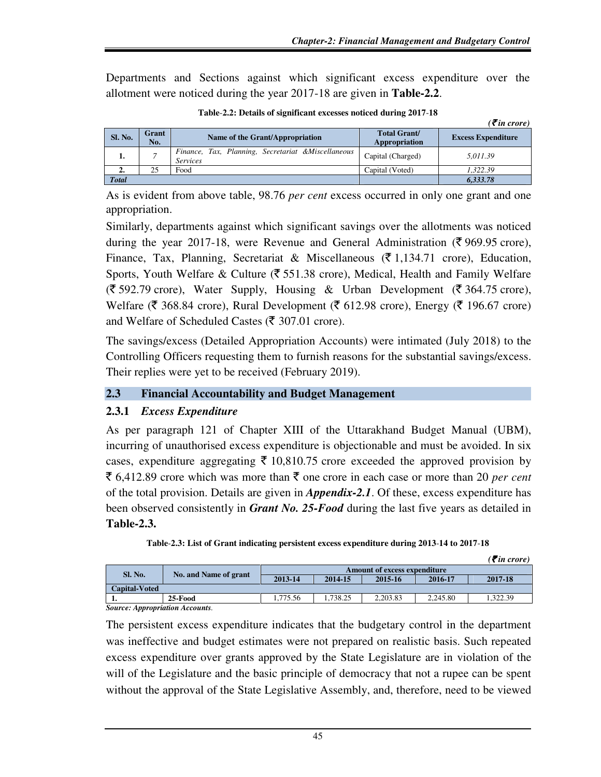Departments and Sections against which significant excess expenditure over the allotment were noticed during the year 2017-18 are given in **Table-2.2**.

|                |              |                                                                       |                                      | $\left( \bar{\xi}$ in crore) |
|----------------|--------------|-----------------------------------------------------------------------|--------------------------------------|------------------------------|
| <b>Sl. No.</b> | Grant<br>No. | Name of the Grant/Appropriation                                       | <b>Total Grant/</b><br>Appropriation | <b>Excess Expenditure</b>    |
| ı.             |              | Finance, Tax, Planning, Secretariat &Miscellaneous<br><b>Services</b> | Capital (Charged)                    | 5,011.39                     |
| 2.             | 25           | Food                                                                  | Capital (Voted)                      | 1.322.39                     |
| <b>Total</b>   |              |                                                                       |                                      | 6,333.78                     |

**Table**-**2.2: Details of significant excesses noticed during 2017**-**18** 

As is evident from above table, 98.76 *per cent* excess occurred in only one grant and one appropriation.

Similarly, departments against which significant savings over the allotments was noticed during the year 2017-18, were Revenue and General Administration ( $\bar{\tau}$  969.95 crore), Finance, Tax, Planning, Secretariat & Miscellaneous ( $\bar{\tau}$  1,134.71 crore), Education, Sports, Youth Welfare & Culture ( $\overline{\xi}$  551.38 crore), Medical, Health and Family Welfare  $(\bar{\mathfrak{F}} 592.79 \text{ core})$ , Water Supply, Housing & Urban Development ( $\bar{\mathfrak{F}} 364.75 \text{ core}$ ), Welfare ( $\bar{\mathfrak{F}}$  368.84 crore), Rural Development ( $\bar{\mathfrak{F}}$  612.98 crore), Energy ( $\bar{\mathfrak{F}}$  196.67 crore) and Welfare of Scheduled Castes ( $\bar{\mathfrak{F}}$  307.01 crore).

The savings/excess (Detailed Appropriation Accounts) were intimated (July 2018) to the Controlling Officers requesting them to furnish reasons for the substantial savings/excess. Their replies were yet to be received (February 2019).

# **2.3 Financial Accountability and Budget Management**

# **2.3.1** *Excess Expenditure*

As per paragraph 121 of Chapter XIII of the Uttarakhand Budget Manual (UBM), incurring of unauthorised excess expenditure is objectionable and must be avoided. In six cases, expenditure aggregating  $\bar{\tau}$  10,810.75 crore exceeded the approved provision by  $\bar{\xi}$  6,412.89 crore which was more than  $\bar{\xi}$  one crore in each case or more than 20 *per cent* of the total provision. Details are given in *Appendix-2.1*. Of these, excess expenditure has been observed consistently in *Grant No. 25-Food* during the last five years as detailed in **Table-2.3.** 

| Table-2.3: List of Grant indicating persistent excess expenditure during 2013-14 to 2017-18 |  |
|---------------------------------------------------------------------------------------------|--|
|---------------------------------------------------------------------------------------------|--|

|                               |                       |          |          |                                     |          | $\overline{\mathcal{E}}$ in crore) |  |
|-------------------------------|-----------------------|----------|----------|-------------------------------------|----------|------------------------------------|--|
| Sl. No.                       | No. and Name of grant |          |          | <b>Amount of excess expenditure</b> |          |                                    |  |
|                               |                       | 2013-14  | 2014-15  | 2015-16                             | 2016-17  | 2017-18                            |  |
| <b>Capital-Voted</b>          |                       |          |          |                                     |          |                                    |  |
|                               | 25-Food               | 1.775.56 | 1.738.25 | 2.203.83                            | 2.245.80 | .322.39                            |  |
| Corneo Annuanistica Accorreto |                       |          |          |                                     |          |                                    |  |

*Source: Appropriation Accounts.* 

The persistent excess expenditure indicates that the budgetary control in the department was ineffective and budget estimates were not prepared on realistic basis. Such repeated excess expenditure over grants approved by the State Legislature are in violation of the will of the Legislature and the basic principle of democracy that not a rupee can be spent without the approval of the State Legislative Assembly, and, therefore, need to be viewed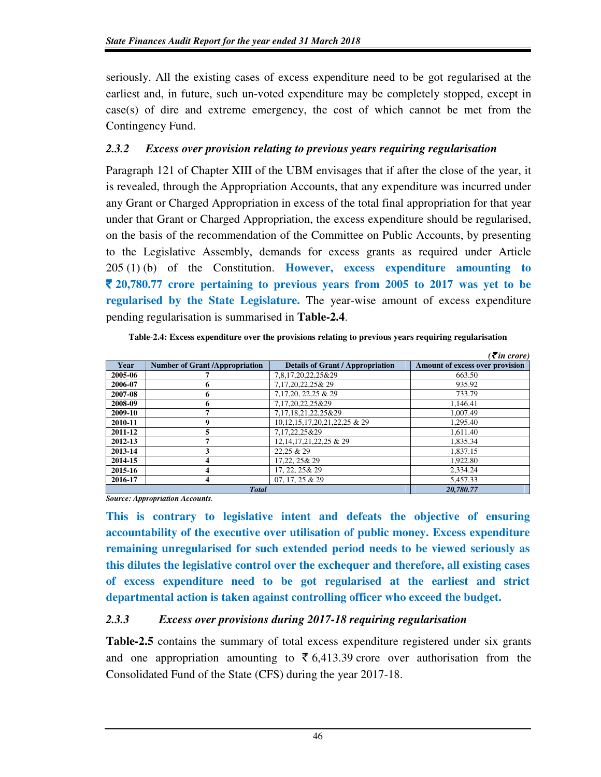seriously. All the existing cases of excess expenditure need to be got regularised at the earliest and, in future, such un-voted expenditure may be completely stopped, except in case(s) of dire and extreme emergency, the cost of which cannot be met from the Contingency Fund.

# *2.3.2 Excess over provision relating to previous years requiring regularisation*

Paragraph 121 of Chapter XIII of the UBM envisages that if after the close of the year, it is revealed, through the Appropriation Accounts, that any expenditure was incurred under any Grant or Charged Appropriation in excess of the total final appropriation for that year under that Grant or Charged Appropriation, the excess expenditure should be regularised, on the basis of the recommendation of the Committee on Public Accounts, by presenting to the Legislative Assembly, demands for excess grants as required under Article 205 (1) (b) of the Constitution. **However, excess expenditure amounting to**  ` **20,780.77 crore pertaining to previous years from 2005 to 2017 was yet to be regularised by the State Legislature.** The year-wise amount of excess expenditure pending regularisation is summarised in **Table-2.4**.

| Table-2.4: Excess expenditure over the provisions relating to previous years requiring regularisation |  |  |
|-------------------------------------------------------------------------------------------------------|--|--|
|                                                                                                       |  |  |

|         |                                       |                                         | $( \bar{\mathbf{z}}$ in crore)  |
|---------|---------------------------------------|-----------------------------------------|---------------------------------|
| Year    | <b>Number of Grant /Appropriation</b> | <b>Details of Grant / Appropriation</b> | Amount of excess over provision |
| 2005-06 |                                       | 7,8,17,20,22,25&29                      | 663.50                          |
| 2006-07 | 6                                     | 7,17,20,22,25& 29                       | 935.92                          |
| 2007-08 | 6                                     | 7,17,20, 22,25 & 29                     | 733.79                          |
| 2008-09 | 6                                     | 7.17.20.22.25&29                        | 1.146.41                        |
| 2009-10 |                                       | 7,17,18,21,22,25&29                     | 1.007.49                        |
| 2010-11 | 9                                     | 10, 12, 15, 17, 20, 21, 22, 25 & 29     | 1.295.40                        |
| 2011-12 | 5                                     | 7,17,22,25&29                           | 1.611.40                        |
| 2012-13 |                                       | 12, 14, 17, 21, 22, 25 & 29             | 1.835.34                        |
| 2013-14 | 3                                     | 22.25 & 29                              | 1.837.15                        |
| 2014-15 | 4                                     | 17.22, 25& 29                           | 1.922.80                        |
| 2015-16 | 4                                     | 17, 22, 25& 29                          | 2.334.24                        |
| 2016-17 | 4                                     | $07, 17, 25 \& 29$                      | 5.457.33                        |
|         | <b>Total</b>                          |                                         | 20.780.77                       |

*Source: Appropriation Accounts.* 

**This is contrary to legislative intent and defeats the objective of ensuring accountability of the executive over utilisation of public money. Excess expenditure remaining unregularised for such extended period needs to be viewed seriously as this dilutes the legislative control over the exchequer and therefore, all existing cases of excess expenditure need to be got regularised at the earliest and strict departmental action is taken against controlling officer who exceed the budget.** 

# *2.3.3 Excess over provisions during 2017-18 requiring regularisation*

**Table-2.5** contains the summary of total excess expenditure registered under six grants and one appropriation amounting to  $\bar{\tau}$  6,413.39 crore over authorisation from the Consolidated Fund of the State (CFS) during the year 2017-18.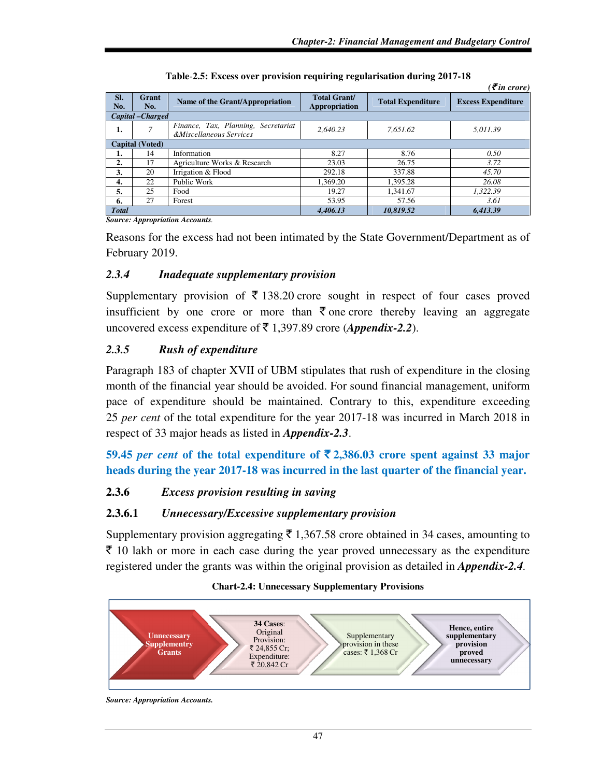|                        |                   |                                                                |                                      |                          | $\overline{\mathcal{E}}$ in crore) |  |
|------------------------|-------------------|----------------------------------------------------------------|--------------------------------------|--------------------------|------------------------------------|--|
| SI.<br>No.             | Grant<br>No.      | Name of the Grant/Appropriation                                | <b>Total Grant/</b><br>Appropriation | <b>Total Expenditure</b> | <b>Excess Expenditure</b>          |  |
|                        | Capital - Charged |                                                                |                                      |                          |                                    |  |
| 1.                     |                   | Finance, Tax, Planning, Secretariat<br>&Miscellaneous Services | 2.640.23                             | 7.651.62                 | 5.011.39                           |  |
| <b>Capital (Voted)</b> |                   |                                                                |                                      |                          |                                    |  |
| ı.                     | 14                | Information                                                    | 8.27                                 | 8.76                     | 0.50                               |  |
| 2.                     | 17                | Agriculture Works & Research                                   | 23.03                                | 26.75                    | 3.72                               |  |
| 3.                     | 20                | Irrigation & Flood                                             | 292.18                               | 337.88                   | 45.70                              |  |
| 4.                     | 22                | Public Work                                                    | 1,369.20                             | 1,395.28                 | 26.08                              |  |
| 5.                     | 25                | Food                                                           | 19.27                                | 1.341.67                 | 1.322.39                           |  |
| 6.                     | 27                | Forest                                                         | 53.95                                | 57.56                    | 3.61                               |  |
| <b>Total</b>           |                   |                                                                | 4.406.13                             | 10.819.52                | 6.413.39                           |  |

| Table-2.5: Excess over provision requiring regularisation during 2017-18 |  |  |  |
|--------------------------------------------------------------------------|--|--|--|
|--------------------------------------------------------------------------|--|--|--|

*Source: Appropriation Accounts.*

Reasons for the excess had not been intimated by the State Government/Department as of February 2019.

# *2.3.4 Inadequate supplementary provision*

Supplementary provision of  $\bar{\tau}$  138.20 crore sought in respect of four cases proved insufficient by one crore or more than  $\bar{\xi}$  one crore thereby leaving an aggregate uncovered excess expenditure of  $\bar{\bar{\xi}}$  1,397.89 crore (*Appendix-2.2*).

# *2.3.5 Rush of expenditure*

Paragraph 183 of chapter XVII of UBM stipulates that rush of expenditure in the closing month of the financial year should be avoided. For sound financial management, uniform pace of expenditure should be maintained. Contrary to this, expenditure exceeding 25 *per cent* of the total expenditure for the year 2017-18 was incurred in March 2018 in respect of 33 major heads as listed in *Appendix-2.3*.

**59.45** *per cent* **of the total expenditure of**  $\overline{5}$  **2,386.03 crore spent against 33 major heads during the year 2017-18 was incurred in the last quarter of the financial year.** 

# **2.3.6** *Excess provision resulting in saving*

# **2.3.6.1** *Unnecessary/Excessive supplementary provision*

Supplementary provision aggregating  $\bar{\tau}$  1,367.58 crore obtained in 34 cases, amounting to  $\bar{\xi}$  10 lakh or more in each case during the year proved unnecessary as the expenditure registered under the grants was within the original provision as detailed in *Appendix-2.4.*

#### **Unnecessary Supplementry Grants 34 Cases**: Original Provision: ₹ 24,855 Cr; Expenditure: ₹ 20,842 Cr Supplementary provision in these cases: ₹ 1,368 Cr **Hence, entire supplementary provision proved unnecessary**

### **Chart-2.4: Unnecessary Supplementary Provisions**

*Source: Appropriation Accounts.*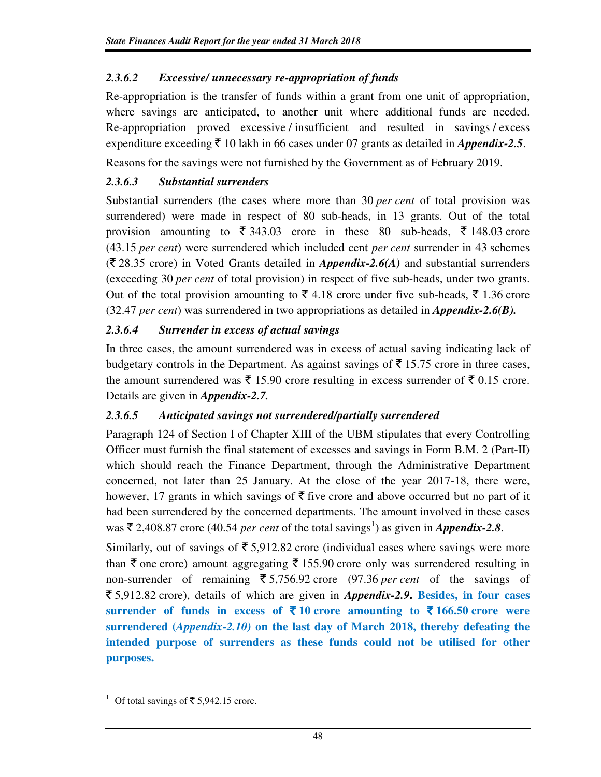# *2.3.6.2 Excessive/ unnecessary re-appropriation of funds*

Re-appropriation is the transfer of funds within a grant from one unit of appropriation, where savings are anticipated, to another unit where additional funds are needed. Re-appropriation proved excessive / insufficient and resulted in savings / excess expenditure exceeding  $\bar{\tau}$  10 lakh in 66 cases under 07 grants as detailed in *Appendix-2.5*.

Reasons for the savings were not furnished by the Government as of February 2019.

# *2.3.6.3 Substantial surrenders*

Substantial surrenders (the cases where more than 30 *per cent* of total provision was surrendered) were made in respect of 80 sub-heads, in 13 grants. Out of the total provision amounting to  $\overline{\xi}$  343.03 crore in these 80 sub-heads,  $\overline{\xi}$  148.03 crore (43.15 *per cent*) were surrendered which included cent *per cent* surrender in 43 schemes  $(\bar{\tau}$  28.35 crore) in Voted Grants detailed in *Appendix-2.6(A)* and substantial surrenders (exceeding 30 *per cent* of total provision) in respect of five sub-heads, under two grants. Out of the total provision amounting to  $\bar{\xi}$  4.18 crore under five sub-heads,  $\bar{\xi}$  1.36 crore (32.47 *per cent*) was surrendered in two appropriations as detailed in *Appendix-2.6(B).* 

# *2.3.6.4 Surrender in excess of actual savings*

In three cases, the amount surrendered was in excess of actual saving indicating lack of budgetary controls in the Department. As against savings of  $\bar{\tau}$  15.75 crore in three cases, the amount surrendered was  $\bar{\xi}$  15.90 crore resulting in excess surrender of  $\bar{\xi}$  0.15 crore. Details are given in *Appendix-2.7.* 

# *2.3.6.5 Anticipated savings not surrendered/partially surrendered*

Paragraph 124 of Section I of Chapter XIII of the UBM stipulates that every Controlling Officer must furnish the final statement of excesses and savings in Form B.M. 2 (Part-II) which should reach the Finance Department, through the Administrative Department concerned, not later than 25 January. At the close of the year 2017-18, there were, however, 17 grants in which savings of  $\bar{\tau}$  five crore and above occurred but no part of it had been surrendered by the concerned departments. The amount involved in these cases was  $\bar{\tau}$  2,408.87 crore (40.54 *per cent* of the total savings<sup>1</sup>) as given in *Appendix-2.8*.

Similarly, out of savings of  $\overline{\xi}$  5.912.82 crore (individual cases where savings were more than  $\bar{\tau}$  one crore) amount aggregating  $\bar{\tau}$  155.90 crore only was surrendered resulting in non-surrender of remaining  $\overline{5}$ ,756.92 crore (97.36 *per cent* of the savings of ` 5,912.82 crore), details of which are given in *Appendix-2.9***. Besides, in four cases surrender of funds in excess of**  $\bar{\tau}$  **10 crore amounting to**  $\bar{\tau}$  **166.50 crore were surrendered (***Appendix-2.10)* **on the last day of March 2018, thereby defeating the intended purpose of surrenders as these funds could not be utilised for other purposes.** 

 $\overline{a}$ <sup>1</sup> Of total savings of ₹ 5,942.15 crore.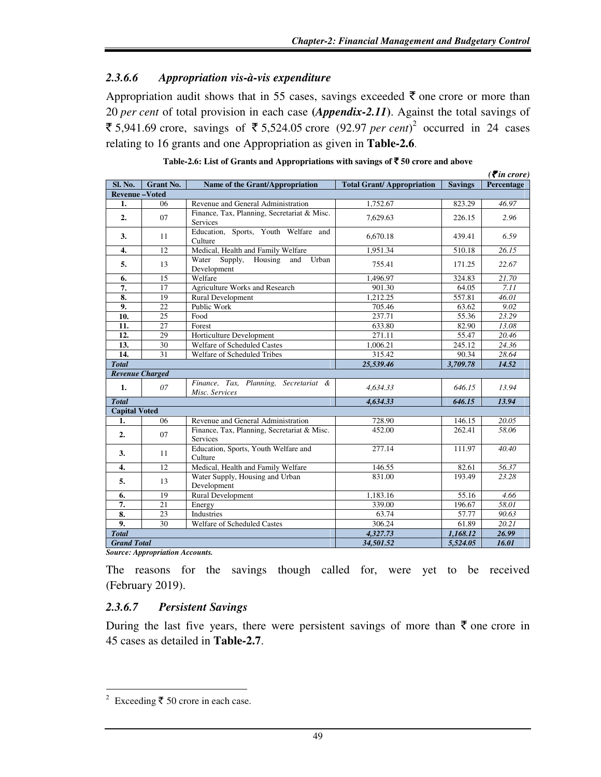# *2.3.6.6 Appropriation vis-à-vis expenditure*

Appropriation audit shows that in 55 cases, savings exceeded  $\bar{\tau}$  one crore or more than 20 *per cent* of total provision in each case **(***Appendix-2.11***)**. Against the total savings of ₹ 5,941.69 crore, savings of ₹ 5,524.05 crore (92.97 *per cent*)<sup>2</sup> occurred in 24 cases relating to 16 grants and one Appropriation as given in **Table-2.6**.

|                        |                  |                                                                |                                  |                | $( \bar{\mathbf{\mathcal{F}}}$ in crore) |
|------------------------|------------------|----------------------------------------------------------------|----------------------------------|----------------|------------------------------------------|
| Sl. No.                | <b>Grant No.</b> | Name of the Grant/Appropriation                                | <b>Total Grant/Appropriation</b> | <b>Savings</b> | Percentage                               |
| <b>Revenue-Voted</b>   |                  |                                                                |                                  |                |                                          |
| 1.                     | 06               | Revenue and General Administration                             | 1,752.67                         | 823.29         | 46.97                                    |
| 2.                     | 07               | Finance, Tax, Planning, Secretariat & Misc.<br><b>Services</b> | 7,629.63                         | 226.15         | 2.96                                     |
| 3.                     | 11               | Education, Sports, Youth Welfare and<br>Culture                | 6.670.18                         | 439.41         | 6.59                                     |
| 4.                     | 12               | Medical, Health and Family Welfare                             | 1,951.34                         | 510.18         | $\overline{26.15}$                       |
| 5.                     | 13               | Water Supply, Housing and<br>Urban<br>Development              | 755.41                           | 171.25         | 22.67                                    |
| 6.                     | 15               | Welfare                                                        | 1,496.97                         | 324.83         | 21.70                                    |
| 7.                     | 17               | <b>Agriculture Works and Research</b>                          | 901.30                           | 64.05          | 7.11                                     |
| 8.                     | 19               | <b>Rural Development</b>                                       | 1,212.25                         | 557.81         | 46.01                                    |
| 9.                     | 22               | Public Work                                                    | 705.46                           | 63.62          | 9.02                                     |
| 10.                    | 25               | Food                                                           | 237.71                           | 55.36          | 23.29                                    |
| 11.                    | 27               | Forest                                                         | 633.80                           | 82.90          | 13.08                                    |
| $\overline{12}$ .      | 29               | Horticulture Development                                       | 271.11                           | 55.47          | 20.46                                    |
| 13.                    | 30               | Welfare of Scheduled Castes                                    | 1,006.21                         | 245.12         | 24.36                                    |
| $\overline{14}$ .      | 31               | Welfare of Scheduled Tribes                                    | 315.42                           | 90.34          | 28.64                                    |
| <b>Total</b>           |                  |                                                                | 25,539.46                        | 3,709.78       | 14.52                                    |
| <b>Revenue Charged</b> |                  |                                                                |                                  |                |                                          |
| 1.                     | 07               | Finance, Tax, Planning, Secretariat &<br>Misc. Services        | 4,634.33                         | 646.15         | 13.94                                    |
| <b>Total</b>           |                  |                                                                | 4,634.33                         | 646.15         | 13.94                                    |
| <b>Capital Voted</b>   |                  |                                                                |                                  |                |                                          |
| 1.                     | 06               | Revenue and General Administration                             | 728.90                           | 146.15         | $\overline{20.05}$                       |
| 2.                     | 07               | Finance, Tax, Planning, Secretariat & Misc.<br><b>Services</b> | 452.00                           | 262.41         | 58.06                                    |
| 3.                     | 11               | Education, Sports, Youth Welfare and<br>Culture                | 277.14                           | 111.97         | 40.40                                    |
| 4.                     | 12               | Medical, Health and Family Welfare                             | 146.55                           | 82.61          | 56.37                                    |
| 5.                     | 13               | Water Supply, Housing and Urban<br>Development                 | 831.00                           | 193.49         | 23.28                                    |
| 6.                     | 19               | Rural Development                                              | 1,183.16                         | 55.16          | 4.66                                     |
| 7.                     | 21               | Energy                                                         | 339.00                           | 196.67         | 58.01                                    |
| 8.                     | 23               | <b>Industries</b>                                              | 63.74                            | 57.77          | 90.63                                    |
| 9.                     | 30               | Welfare of Scheduled Castes                                    | 306.24                           | 61.89          | 20.21                                    |
| <b>Total</b>           |                  |                                                                | 4,327.73                         | 1,168.12       | 26.99                                    |
| <b>Grand Total</b>     |                  |                                                                | 34,501.52                        | 5,524.05       | 16.01                                    |

*Source: Appropriation Accounts.* 

The reasons for the savings though called for, were yet to be received (February 2019).

# *2.3.6.7 Persistent Savings*

During the last five years, there were persistent savings of more than  $\bar{\tau}$  one crore in 45 cases as detailed in **Table-2.7**.

 $\frac{2}{2}$  Exceeding ₹ 50 crore in each case.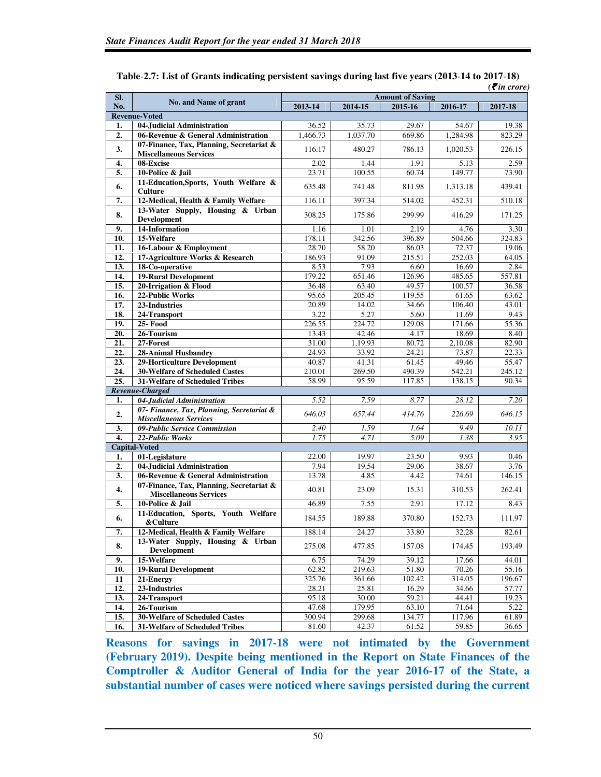| SI. |                                                                            | <b>Amount of Saving</b> |             |         |          | $\mathbf{v}$ in crore, |
|-----|----------------------------------------------------------------------------|-------------------------|-------------|---------|----------|------------------------|
| No. | No. and Name of grant                                                      | $2013 - 14$             | $2014 - 15$ | 2015-16 | 2016-17  | 2017-18                |
|     | <b>Revenue-Voted</b>                                                       |                         |             |         |          |                        |
| 1.  | 04-Judicial Administration                                                 | 36.52                   | 35.73       | 29.67   | 54.67    | 19.38                  |
| 2.  | 06-Revenue & General Administration                                        | 1,466.73                | 1,037.70    | 669.86  | 1,284.98 | 823.29                 |
|     | 07-Finance, Tax, Planning, Secretariat &                                   |                         |             |         |          |                        |
| 3.  | <b>Miscellaneous Services</b>                                              | 116.17                  | 480.27      | 786.13  | 1,020.53 | 226.15                 |
| 4.  | 08-Excise                                                                  | 2.02                    | 1.44        | 1.91    | 5.13     | 2.59                   |
| 5.  | 10-Police & Jail                                                           | 23.71                   | 100.55      | 60.74   | 149.77   | 73.90                  |
| 6.  | 11-Education, Sports, Youth Welfare &<br><b>Culture</b>                    | 635.48                  | 741.48      | 811.98  | 1,313.18 | 439.41                 |
| 7.  | 12-Medical, Health & Family Welfare                                        | 116.11                  | 397.34      | 514.02  | 452.31   | 510.18                 |
| 8.  | 13-Water Supply, Housing & Urban<br><b>Development</b>                     | 308.25                  | 175.86      | 299.99  | 416.29   | 171.25                 |
| 9.  | 14-Information                                                             | 1.16                    | 1.01        | 2.19    | 4.76     | 3.30                   |
| 10. | 15-Welfare                                                                 | 178.11                  | 342.56      | 396.89  | 504.66   | 324.83                 |
| 11. | 16-Labour & Employment                                                     | 28.70                   | 58.20       | 86.03   | 72.37    | 19.06                  |
| 12. | 17-Agriculture Works & Research                                            | 186.93                  | 91.09       | 215.51  | 252.03   | 64.05                  |
| 13. | 18-Co-operative                                                            | 8.53                    | 7.93        | 6.60    | 16.69    | 2.84                   |
| 14. | <b>19-Rural Development</b>                                                | 179.22                  | 651.46      | 126.96  | 485.65   | 557.81                 |
| 15. | 20-Irrigation & Flood                                                      | 36.48                   | 63.40       | 49.57   | 100.57   | 36.58                  |
| 16. | 22-Public Works                                                            | 95.65                   | 205.45      | 119.55  | 61.65    | 63.62                  |
| 17. | 23-Industries                                                              | 20.89                   | 14.02       | 34.66   | 106.40   | 43.01                  |
| 18. | 24-Transport                                                               | 3.22                    | 5.27        | 5.60    | 11.69    | 9.43                   |
| 19. | $25 - Food$                                                                | 226.55                  | 224.72      | 129.08  | 171.66   | 55.36                  |
| 20. | 26-Tourism                                                                 | 13.43                   | 42.46       | 4.17    | 18.69    | 8.40                   |
| 21. | $27$ -Forest                                                               | 31.00                   | 1,19.93     | 80.72   | 2,10.08  | 82.90                  |
| 22. | <b>28-Animal Husbandry</b>                                                 | 24.93                   | 33.92       | 24.21   | 73.87    | 22.33                  |
| 23. | 29-Horticulture Development                                                | 40.87                   | 41.31       | 61.45   | 49.46    | 55.47                  |
| 24. | 30-Welfare of Scheduled Castes                                             | 210.01                  | 269.50      | 490.39  | 542.21   | 245.12                 |
| 25. | <b>31-Welfare of Scheduled Tribes</b>                                      | 58.99                   | 95.59       | 117.85  | 138.15   | 90.34                  |
|     | Revenue-Charged                                                            |                         |             |         |          |                        |
| 1.  | 04-Judicial Administration                                                 | 5.52                    | 7.59        | 8.77    | 28.12    | 7.20                   |
| 2.  | 07- Finance, Tax, Planning, Secretariat &<br><b>Miscellaneous Services</b> | 646.03                  | 657.44      | 414.76  | 226.69   | 646.15                 |
| 3.  | 09-Public Service Commission                                               | 2.40                    | 1.59        | 1.64    | 9.49     | 10.11                  |
| 4.  | 22-Public Works                                                            | 1.75                    | 4.71        | 5.09    | 1.38     | 3.95                   |
|     | Capital-Voted                                                              |                         |             |         |          |                        |
| 1.  | 01-Legislature                                                             | 22.00                   | 19.97       | 23.50   | 9.93     | 0.46                   |
| 2.  | 04-Judicial Administration                                                 | 7.94                    | 19.54       | 29.06   | 38.67    | 3.76                   |
| 3.  | 06-Revenue & General Administration                                        | 13.78                   | 4.85        | 4.42    | 74.61    | 146.15                 |
| 4.  | 07-Finance, Tax, Planning, Secretariat &<br><b>Miscellaneous Services</b>  | 40.81                   | 23.09       | 15.31   | 310.53   | 262.41                 |
| 5.  | 10-Police & Jail                                                           | 46.89                   | 7.55        | 2.91    | 17.12    | 8.43                   |
| 6.  | 11-Education, Sports, Youth Welfare<br>& Culture                           | 184.55                  | 189.88      | 370.80  | 152.73   | 111.97                 |
| 7.  | 12-Medical, Health & Family Welfare                                        | 188.14                  | 24.27       | 33.80   | 32.28    | 82.61                  |
| 8.  | 13-Water Supply, Housing & Urban                                           | 275.08                  | 477.85      | 157.08  | 174.45   | 193.49                 |
|     | <b>Development</b>                                                         |                         |             |         |          |                        |
| 9.  | 15-Welfare                                                                 | 6.75                    | 74.29       | 39.12   | 17.66    | 44.01                  |
| 10. | 19-Rural Development                                                       | 62.82                   | 219.63      | 51.80   | 70.26    | 55.16                  |
| 11  | 21-Energy                                                                  | 325.76                  | 361.66      | 102.42  | 314.05   | 196.67                 |
| 12. | 23-Industries                                                              | 28.21                   | 25.81       | 16.29   | 34.66    | 57.77                  |
| 13. | 24-Transport                                                               | 95.18                   | 30.00       | 59.21   | 44.41    | 19.23                  |
| 14. | 26-Tourism                                                                 | 47.68                   | 179.95      | 63.10   | 71.64    | 5.22                   |
| 15. | 30-Welfare of Scheduled Castes                                             | 300.94                  | 299.68      | 134.77  | 117.96   | 61.89                  |
| 16. | 31-Welfare of Scheduled Tribes                                             | 81.60                   | 42.37       | 61.52   | 59.85    | 36.65                  |

| Table-2.7: List of Grants indicating persistent savings during last five years (2013-14 to 2017-18) |                               |
|-----------------------------------------------------------------------------------------------------|-------------------------------|
|                                                                                                     | $\bar{\mathcal{F}}$ in crore) |

**Reasons for savings in 2017-18 were not intimated by the Government (February 2019). Despite being mentioned in the Report on State Finances of the Comptroller & Auditor General of India for the year 2016-17 of the State, a substantial number of cases were noticed where savings persisted during the current**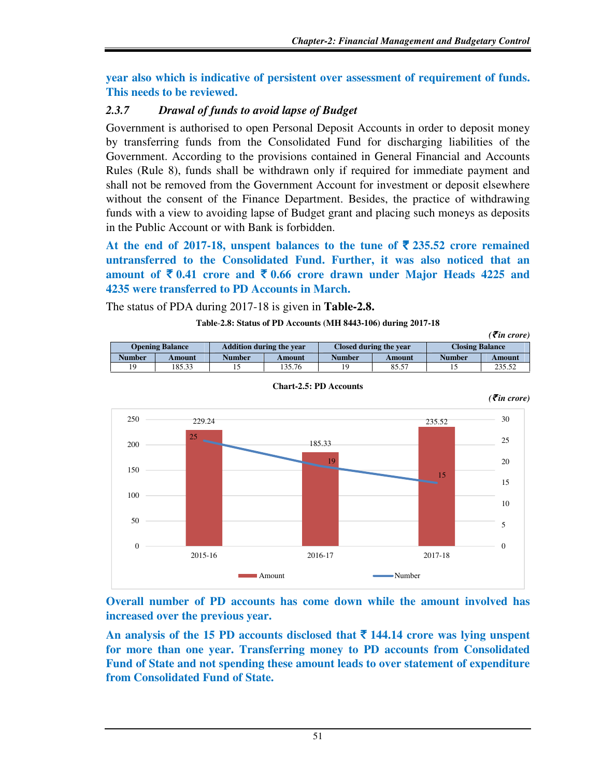*(₹in crore)* 

**year also which is indicative of persistent over assessment of requirement of funds. This needs to be reviewed.** 

# *2.3.7 Drawal of funds to avoid lapse of Budget*

Government is authorised to open Personal Deposit Accounts in order to deposit money by transferring funds from the Consolidated Fund for discharging liabilities of the Government. According to the provisions contained in General Financial and Accounts Rules (Rule 8), funds shall be withdrawn only if required for immediate payment and shall not be removed from the Government Account for investment or deposit elsewhere without the consent of the Finance Department. Besides, the practice of withdrawing funds with a view to avoiding lapse of Budget grant and placing such moneys as deposits in the Public Account or with Bank is forbidden.

At the end of 2017-18, unspent balances to the tune of  $\bar{\xi}$  235.52 crore remained **untransferred to the Consolidated Fund. Further, it was also noticed that an**  amount of  $\bar{\mathbf{\xi}}$  0.41 crore and  $\bar{\mathbf{\xi}}$  0.66 crore drawn under Major Heads 4225 and **4235 were transferred to PD Accounts in March.** 

The status of PDA during 2017-18 is given in **Table-2.8.** 

### **Table**-**2.8: Status of PD Accounts (MH 8443-106) during 2017-18**

| <b>Opening Balance</b> |        |        | <b>Addition during the year</b> |                | Closed during the year | <b>Closing Balance</b> |        |  |
|------------------------|--------|--------|---------------------------------|----------------|------------------------|------------------------|--------|--|
| <b>Number</b>          | Amount | Number | Amount                          | Number         | Amount                 | Number                 | Amount |  |
| 19                     | 185.33 |        | ' 35.76                         | $\overline{Q}$ | 85.57                  |                        | 235.52 |  |



**Chart-2.5: PD Accounts** 

**Overall number of PD accounts has come down while the amount involved has increased over the previous year.** 

An analysis of the 15 PD accounts disclosed that  $\bar{\tau}$  144.14 crore was lying unspent **for more than one year. Transferring money to PD accounts from Consolidated Fund of State and not spending these amount leads to over statement of expenditure from Consolidated Fund of State.**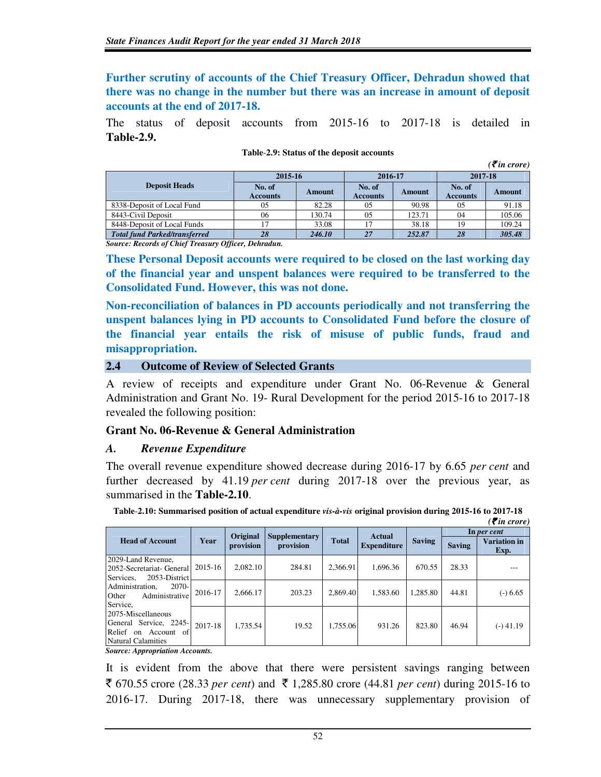**Further scrutiny of accounts of the Chief Treasury Officer, Dehradun showed that there was no change in the number but there was an increase in amount of deposit accounts at the end of 2017-18.** 

The status of deposit accounts from 2015-16 to 2017-18 is detailed in **Table-2.9.**

|                                      |                           |        |                           |        |                           | $\overline{\mathcal{E}}$ in crore) |  |
|--------------------------------------|---------------------------|--------|---------------------------|--------|---------------------------|------------------------------------|--|
|                                      | 2015-16                   |        | 2016-17                   |        | 2017-18                   |                                    |  |
| <b>Deposit Heads</b>                 | No. of<br><b>Accounts</b> | Amount | No. of<br><b>Accounts</b> | Amount | No. of<br><b>Accounts</b> | Amount                             |  |
| 8338-Deposit of Local Fund           | 0 <sub>5</sub>            | 82.28  | 0.5                       | 90.98  | 0.5                       | 91.18                              |  |
| 8443-Civil Deposit                   | 06                        | 130.74 | 05                        | 123.71 | 04                        | 105.06                             |  |
| 8448-Deposit of Local Funds          | 17                        | 33.08  | 17                        | 38.18  | 19                        | 109.24                             |  |
| <b>Total fund Parked/transferred</b> | 28                        | 246.10 | 27                        | 252.87 | 28                        | 305.48                             |  |

### **Table**-**2.9: Status of the deposit accounts**

*Source: Records of Chief Treasury Officer, Dehradun.* 

**These Personal Deposit accounts were required to be closed on the last working day of the financial year and unspent balances were required to be transferred to the Consolidated Fund. However, this was not done.** 

**Non-reconciliation of balances in PD accounts periodically and not transferring the unspent balances lying in PD accounts to Consolidated Fund before the closure of the financial year entails the risk of misuse of public funds, fraud and misappropriation.** 

### **2.4 Outcome of Review of Selected Grants**

A review of receipts and expenditure under Grant No. 06-Revenue & General Administration and Grant No. 19- Rural Development for the period 2015-16 to 2017-18 revealed the following position:

### **Grant No. 06-Revenue & General Administration**

### *A. Revenue Expenditure*

The overall revenue expenditure showed decrease during 2016-17 by 6.65 *per cent* and further decreased by 41.19 *per cent* during 2017-18 over the previous year, as summarised in the **Table-2.10**.

|                                                                                                                                                                                                                 |         |                       |                                   |              |                                     |               |               | $\left( \mathbf{\bar{z}}$ in crore) |
|-----------------------------------------------------------------------------------------------------------------------------------------------------------------------------------------------------------------|---------|-----------------------|-----------------------------------|--------------|-------------------------------------|---------------|---------------|-------------------------------------|
|                                                                                                                                                                                                                 |         |                       |                                   |              |                                     |               |               | In per cent                         |
| <b>Head of Account</b>                                                                                                                                                                                          | Year    | Original<br>provision | <b>Supplementary</b><br>provision | <b>Total</b> | <b>Actual</b><br><b>Expenditure</b> | <b>Saving</b> | <b>Saving</b> | <b>Variation</b> in<br>Exp.         |
| 2029-Land Revenue,<br>2052-Secretariat- General<br>2053-District<br>Services.                                                                                                                                   | 2015-16 | 2,082.10              | 284.81                            | 2,366.91     | 1,696.36                            | 670.55        | 28.33         |                                     |
| 2070-<br>Administration.<br>Administrative<br>Other<br>Service,<br>2075-Miscellaneous<br>General Service, 2245-<br>Relief on Account of<br>Natural Calamities<br>$\cdot$<br>$\alpha$ $\alpha$<br>$\overline{a}$ | 2016-17 | 2.666.17              | 203.23                            | 2.869.40     | 1,583.60                            | 1.285.80      | 44.81         | $(-) 6.65$                          |
|                                                                                                                                                                                                                 | 2017-18 | 1.735.54              | 19.52                             | 1.755.06     | 931.26                              | 823.80        | 46.94         | $(-)$ 41.19                         |

**Table**-**2.10: Summarised position of actual expenditure** *vis-à-vis* **original provision during 2015-16 to 2017-18** 

 *Source: Appropriation Accounts.*

It is evident from the above that there were persistent savings ranging between  $\bar{\mathcal{F}}$  670.55 crore (28.33 *per cent*) and  $\bar{\mathcal{F}}$  1,285.80 crore (44.81 *per cent*) during 2015-16 to 2016-17. During 2017-18, there was unnecessary supplementary provision of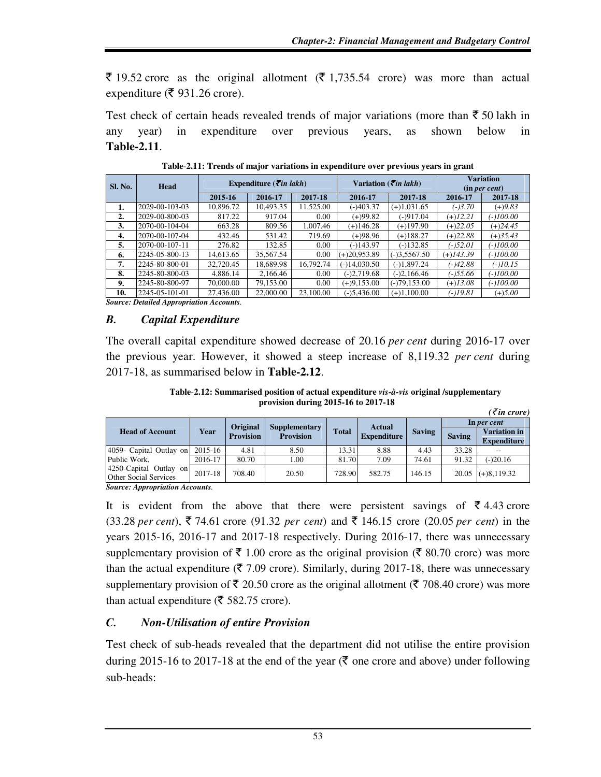$\bar{\xi}$  19.52 crore as the original allotment ( $\bar{\xi}$  1,735.54 crore) was more than actual expenditure ( $\bar{\mathfrak{F}}$  931.26 crore).

Test check of certain heads revealed trends of major variations (more than  $\bar{\tau}$  50 lakh in any year) in expenditure over previous years, as shown below in **Table-2.11**.

| <b>Sl. No.</b> | <b>Head</b>    |           | Expenditure ( $\vec{\tau}$ in lakh) |           |                | Variation ( <i>\migrin lakh</i> ) | <b>Variation</b><br>(in per cent) |            |
|----------------|----------------|-----------|-------------------------------------|-----------|----------------|-----------------------------------|-----------------------------------|------------|
|                |                | 2015-16   | 2016-17                             | 2017-18   | 2016-17        | 2017-18                           | 2016-17                           | 2017-18    |
| 1.             | 2029-00-103-03 | 10,896.72 | 10,493.35                           | 11,525.00 | (-)403.37      | $(+)1,031.65$                     | $(-)3.70$                         | $(+)9.83$  |
| 2.             | 2029-00-800-03 | 817.22    | 917.04                              | 0.00      | (+)99.82       | $(-)917.04$                       | $(+)12.21$                        | (-)100.00  |
| 3.             | 2070-00-104-04 | 663.28    | 809.56                              | 1.007.46  | $(+)146.28$    | $(+)197.90$                       | $(+)22.05$                        | $(+)24.45$ |
| 4.             | 2070-00-107-04 | 432.46    | 531.42                              | 719.69    | (+)98.96       | $(+)188.27$                       | $(+)22.88$                        | $(+)35.43$ |
| 5.             | 2070-00-107-11 | 276.82    | 132.85                              | 0.00      | $(-)143.97$    | $(-)132.85$                       | $(-152.01)$                       | (-)100.00  |
| 6.             | 2245-05-800-13 | 14.613.65 | 35,567.54                           | 0.00      | $(+)20.953.89$ | $(-)3,5567.50$                    | (+)143.39                         | (-)100.00  |
| 7.             | 2245-80-800-01 | 32,720.45 | 18,689.98                           | 16.792.74 | $(-)14,030.50$ | $(-)1,897.24$                     | $(-)42.88$                        | $(-)10.15$ |
| 8.             | 2245-80-800-03 | 4,886.14  | 2,166.46                            | 0.00      | $(-)2,719.68$  | $(-)2,166.46$                     | $(-)55.66$                        | (-)100.00  |
| 9.             | 2245-80-800-97 | 70,000.00 | 79.153.00                           | 0.00      | $(+)9,153.00$  | $(-)79,153.00$                    | $(+)13.08$                        | (-)100.00  |
| 10.            | 2245-05-101-01 | 27,436.00 | 22,000.00                           | 23,100.00 | $(-)5,436.00$  | $(+)1,100.00$                     | (-)19.81                          | $(+)5.00$  |

**Table**-**2.11: Trends of major variations in expenditure over previous years in grant** 

*Source: Detailed Appropriation Accounts.* 

# *B. Capital Expenditure*

The overall capital expenditure showed decrease of 20.16 *per cent* during 2016-17 over the previous year. However, it showed a steep increase of 8,119.32 *per cent* during 2017-18, as summarised below in **Table-2.12**.

**Table**-**2.12: Summarised position of actual expenditure** *vis-à-vis* **original /supplementary provision during 2015-16 to 2017-18** 

|                                                        |         |                  |                                   |              |                    |               |               | $\left(\bar{\tau}$ in crore)              |
|--------------------------------------------------------|---------|------------------|-----------------------------------|--------------|--------------------|---------------|---------------|-------------------------------------------|
|                                                        |         | Original         |                                   |              | <b>Actual</b>      |               | In per cent   |                                           |
| <b>Head of Account</b>                                 | Year    | <b>Provision</b> | Supplementary<br><b>Provision</b> | <b>Total</b> | <b>Expenditure</b> | <b>Saving</b> | <b>Saving</b> | <b>Variation in</b><br><b>Expenditure</b> |
| 4059- Capital Outlay on                                | 2015-16 | 4.81             | 8.50                              | 13.31        | 8.88               | 4.43          | 33.28         |                                           |
| Public Work,                                           | 2016-17 | 80.70            | 1.00                              | 81.70        | 7.09               | 74.61         | 91.32         | $(-)20.16$                                |
| 4250-Capital Outlay on<br><b>Other Social Services</b> | 2017-18 | 708.40           | 20.50                             | 728.90       | 582.75             | 146.15        |               | $20.05$ (+)8,119.32                       |

*Source: Appropriation Accounts.* 

It is evident from the above that there were persistent savings of  $\bar{\tau}$  4.43 crore  $(33.28 \text{ per cent}), \xi$  74.61 crore (91.32 *per cent*) and  $\xi$  146.15 crore (20.05 *per cent*) in the years 2015-16, 2016-17 and 2017-18 respectively. During 2016-17, there was unnecessary supplementary provision of  $\bar{\tau}$  1.00 crore as the original provision ( $\bar{\tau}$  80.70 crore) was more than the actual expenditure ( $\bar{\tau}$  7.09 crore). Similarly, during 2017-18, there was unnecessary supplementary provision of  $\bar{\tau}$  20.50 crore as the original allotment ( $\bar{\tau}$  708.40 crore) was more than actual expenditure ( $\bar{\tau}$  582.75 crore).

# *C. Non-Utilisation of entire Provision*

Test check of sub-heads revealed that the department did not utilise the entire provision during 2015-16 to 2017-18 at the end of the year ( $\bar{\tau}$  one crore and above) under following sub-heads: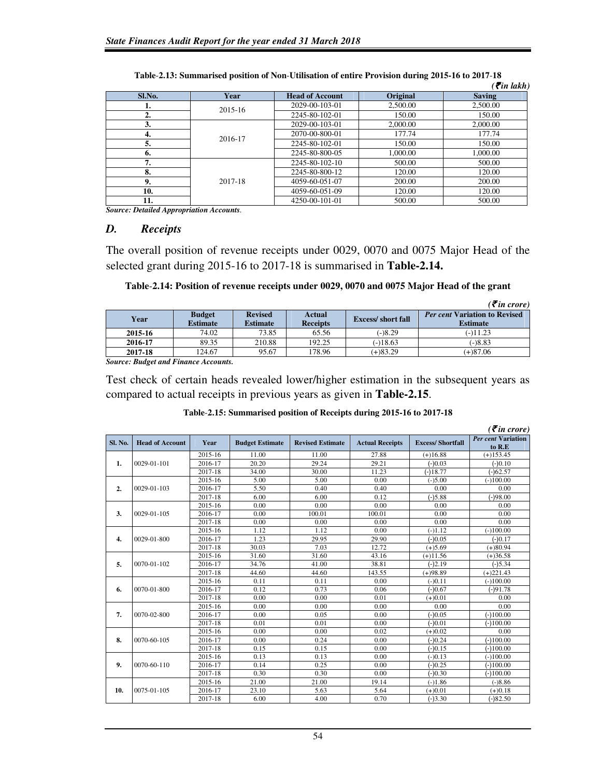|        |         |                        |          | $\epsilon$ ( $\bar{\epsilon}$ in lakh) |
|--------|---------|------------------------|----------|----------------------------------------|
| Sl.No. | Year    | <b>Head of Account</b> | Original | <b>Saving</b>                          |
| ı.     | 2015-16 | 2029-00-103-01         | 2,500.00 | 2,500.00                               |
| 2.     |         | 2245-80-102-01         | 150.00   | 150.00                                 |
| 3.     |         | 2029-00-103-01         | 2,000.00 | 2,000.00                               |
| 4.     | 2016-17 | 2070-00-800-01         | 177.74   | 177.74                                 |
| 5.     |         | 2245-80-102-01         | 150.00   | 150.00                                 |
| 6.     |         | 2245-80-800-05         | 1.000.00 | 1,000.00                               |
| 7.     |         | 2245-80-102-10         | 500.00   | 500.00                                 |
| 8.     |         | 2245-80-800-12         | 120.00   | 120.00                                 |
| 9.     | 2017-18 | 4059-60-051-07         | 200.00   | 200.00                                 |
| 10.    |         | 4059-60-051-09         | 120.00   | 120.00                                 |
| 11.    |         | 4250-00-101-01         | 500.00   | 500.00                                 |

**Table**-**2.13: Summarised position of Non**-**Utilisation of entire Provision during 2015-16 to 2017**-**18** 

*Source: Detailed Appropriation Accounts.* 

### *D. Receipts*

The overall position of revenue receipts under 0029, 0070 and 0075 Major Head of the selected grant during 2015-16 to 2017-18 is summarised in **Table-2.14.** 

### **Table**-**2.14: Position of revenue receipts under 0029, 0070 and 0075 Major Head of the grant**

|         |                                  |                                   |                           |                            | $( \bar{\mathbf{\mathcal{F}}}$ in crore)                |
|---------|----------------------------------|-----------------------------------|---------------------------|----------------------------|---------------------------------------------------------|
| Year    | <b>Budget</b><br><b>Estimate</b> | <b>Revised</b><br><b>Estimate</b> | Actual<br><b>Receipts</b> | <b>Excess</b> / short fall | <b>Per cent Variation to Revised</b><br><b>Estimate</b> |
| 2015-16 | 74.02                            | 73.85                             | 65.56                     | $(-)8.29$                  | $(-)11.23$                                              |
| 2016-17 | 89.35                            | 210.88                            | 192.25                    | $(-)18.63$                 | $(-)8.83$                                               |
| 2017-18 | 124.67                           | 95.67                             | 178.96                    | $(+)83.29$                 | $(+)87.06$                                              |

*Source: Budget and Finance Accounts.* 

Test check of certain heads revealed lower/higher estimation in the subsequent years as compared to actual receipts in previous years as given in **Table-2.15**.

|                  |                        |             |                        |                         |                        |                         | $( \bar{\mathbf{\mathcal{F}}}$ in crore) |
|------------------|------------------------|-------------|------------------------|-------------------------|------------------------|-------------------------|------------------------------------------|
| Sl. No.          | <b>Head of Account</b> | Year        | <b>Budget Estimate</b> | <b>Revised Estimate</b> | <b>Actual Receipts</b> | <b>Excess/Shortfall</b> | <b>Per cent Variation</b><br>to R.E      |
|                  |                        | $2015 - 16$ | 11.00                  | 11.00                   | 27.88                  | $(+)16.88$              | $(+)153.45$                              |
| 1.               | $0029 - 01 - 101$      | 2016-17     | 20.20                  | 29.24                   | 29.21                  | $(-)0.03$               | $(-)0.10$                                |
|                  |                        | 2017-18     | 34.00                  | 30.00                   | 11.23                  | $(-)18.77$              | $(-)62.57$                               |
|                  |                        | 2015-16     | 5.00                   | 5.00                    | 0.00                   | $(-)5.00$               | $(-100.00)$                              |
| 2.               | 0029-01-103            | 2016-17     | 5.50                   | 0.40                    | 0.40                   | 0.00                    | 0.00                                     |
|                  |                        | 2017-18     | 6.00                   | 6.00                    | 0.12                   | $(-)5.88$               | $(-)98.00$                               |
|                  |                        | 2015-16     | 0.00                   | 0.00                    | 0.00                   | 0.00                    | 0.00                                     |
| 3.               | $0029 - 01 - 105$      | 2016-17     | 0.00                   | 100.01                  | 100.01                 | 0.00                    | 0.00                                     |
|                  |                        | 2017-18     | 0.00                   | 0.00                    | 0.00                   | 0.00                    | 0.00                                     |
|                  |                        | 2015-16     | 1.12                   | 1.12                    | 0.00                   | $(-)1.12$               | $(-100.00)$                              |
| $\overline{4}$ . | 0029-01-800            | 2016-17     | 1.23                   | 29.95                   | 29.90                  | $(-)0.05$               | $(-)0.17$                                |
|                  |                        | 2017-18     | 30.03                  | 7.03                    | 12.72                  | $(+)5.69$               | $(+)80.94$                               |
|                  |                        | 2015-16     | 31.60                  | 31.60                   | 43.16                  | $(+)11.56$              | $(+)36.58$                               |
| 5.               | 0070-01-102            | 2016-17     | 34.76                  | 41.00                   | 38.81                  | $(-)2.19$               | $(-)5.34$                                |
|                  |                        | 2017-18     | 44.60                  | 44.60                   | 143.55                 | $(+)98.89$              | $(+)221.43$                              |
|                  |                        | 2015-16     | 0.11                   | 0.11                    | 0.00                   | $(-)0.11$               | $(-100.00)$                              |
| 6.               | 0070-01-800            | 2016-17     | 0.12                   | 0.73                    | 0.06                   | $(-)0.67$               | $(-)91.78$                               |
|                  |                        | 2017-18     | 0.00                   | 0.00                    | 0.01                   | $(+)0.01$               | 0.00                                     |
|                  |                        | 2015-16     | 0.00                   | 0.00                    | 0.00                   | 0.00                    | 0.00                                     |
| 7.               | 0070-02-800            | 2016-17     | 0.00                   | 0.05                    | 0.00                   | $(-)0.05$               | $(-100.00)$                              |
|                  |                        | 2017-18     | 0.01                   | 0.01                    | 0.00                   | $(-)0.01$               | $(-100.00)$                              |
|                  |                        | 2015-16     | 0.00                   | 0.00                    | 0.02                   | $(+)0.02$               | 0.00                                     |
| 8.               | 0070-60-105            | 2016-17     | 0.00                   | 0.24                    | 0.00                   | $(-)0.24$               | $(-100.00)$                              |
|                  |                        | 2017-18     | 0.15                   | 0.15                    | 0.00                   | $(-)0.15$               | $(-100.00)$                              |
|                  |                        | 2015-16     | 0.13                   | 0.13                    | 0.00                   | $(-)0.13$               | $(-100.00)$                              |
| 9.               | 0070-60-110            | 2016-17     | 0.14                   | 0.25                    | 0.00                   | $(-)0.25$               | $(-100.00)$                              |
|                  |                        | 2017-18     | 0.30                   | 0.30                    | 0.00                   | $(-)0.30$               | $(-100.00)$                              |
|                  |                        | 2015-16     | 21.00                  | 21.00                   | 19.14                  | $(-)1.86$               | $(-)8.86$                                |
| 10.              | $0075 - 01 - 105$      | 2016-17     | 23.10                  | 5.63                    | 5.64                   | $(+)0.01$               | $(+)0.18$                                |
|                  |                        | 2017-18     | 6.00                   | 4.00                    | 0.70                   | $(-)3.30$               | $(-)82.50$                               |

| Table-2.15: Summarised position of Receipts during 2015-16 to 2017-18 |  |  |  |
|-----------------------------------------------------------------------|--|--|--|
|-----------------------------------------------------------------------|--|--|--|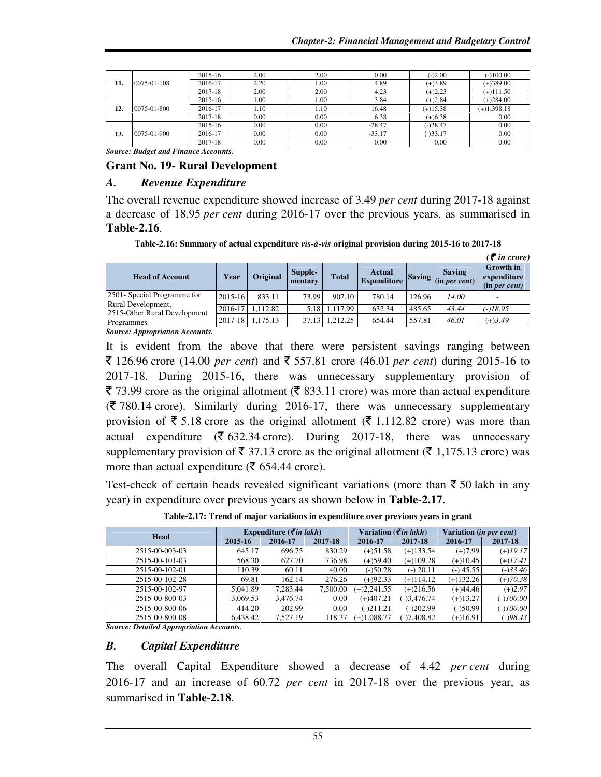|     |             | 2015-16 | 2.00 | 2.00 | 0.00      | $(-)2.00$   | $(-100.00)$   |
|-----|-------------|---------|------|------|-----------|-------------|---------------|
| 11. | 0075-01-108 | 2016-17 | 2.20 | 1.00 | 4.89      | $(+)3.89$   | $(+)389.00$   |
|     |             | 2017-18 | 2.00 | 2.00 | 4.23      | $(+)2.23$   | $(+)111.50$   |
|     | 2015-16     | .00     | 1.00 | 3.84 | $(+)2.84$ | $(+)284.00$ |               |
| 12. | 0075-01-800 | 2016-17 | 1.10 | 1.10 | 16.48     | $(+)15.38$  | $(+)1,398.18$ |
|     |             | 2017-18 | 0.00 | 0.00 | 6.38      | $(+)6.38$   | 0.00          |
|     |             | 2015-16 | 0.00 | 0.00 | $-28.47$  | $(-)28.47$  | 0.00          |
| 13. | 0075-01-900 | 2016-17 | 0.00 | 0.00 | $-33.17$  | $(-)33.17$  | 0.00          |
|     |             | 2017-18 | 0.00 | 0.00 | 0.00      | 0.00        | 0.00          |

*Source: Budget and Finance Accounts.* 

### **Grant No. 19- Rural Development**

### *A. Revenue Expenditure*

The overall revenue expenditure showed increase of 3.49 *per cent* during 2017-18 against a decrease of 18.95 *per cent* during 2016-17 over the previous years, as summarised in **Table-2.16**.

**Table-2.16: Summary of actual expenditure** *vis-à-vis* **original provision during 2015-16 to 2017-18** 

|                                                                                    |             |                 |                    |              |                                     |        |                                                                                | $(\bar{\mathbf{z}})$ in crore)                   |
|------------------------------------------------------------------------------------|-------------|-----------------|--------------------|--------------|-------------------------------------|--------|--------------------------------------------------------------------------------|--------------------------------------------------|
| <b>Head of Account</b>                                                             | Year        | <b>Original</b> | Supple-<br>mentary | <b>Total</b> | <b>Actual</b><br><b>Expenditure</b> |        | <b>Saving</b><br>$\sum$ Saving $\left  \text{ (in } per \text{ cent)} \right $ | <b>Growth</b> in<br>expenditure<br>(in per cent) |
| 2501 - Special Programme for<br>Rural Development,<br>2515-Other Rural Development | 2015-16     | 833.11          | 73.99              | 907.10       | 780.14                              | 126.96 | 14.00                                                                          |                                                  |
|                                                                                    | 2016-17     | 1.112.82        | 5.18               | 1.117.99     | 632.34                              | 485.65 | 43.44                                                                          | (-)18.95                                         |
| Programmes                                                                         | $2017 - 18$ | 1.175.13        | 37.13              | 1.212.25     | 654.44                              | 557.81 | 46.01                                                                          | $(+)3.49$                                        |

*Source: Appropriation Accounts.* 

It is evident from the above that there were persistent savings ranging between ₹ 126.96 crore (14.00 *per cent*) and ₹ 557.81 crore (46.01 *per cent*) during 2015-16 to 2017-18. During 2015-16, there was unnecessary supplementary provision of  $\bar{\xi}$  73.99 crore as the original allotment ( $\bar{\xi}$  833.11 crore) was more than actual expenditure  $(\bar{\zeta}$  780.14 crore). Similarly during 2016-17, there was unnecessary supplementary provision of  $\bar{\xi}$  5.18 crore as the original allotment ( $\bar{\xi}$  1,112.82 crore) was more than actual expenditure ( $\overline{\mathfrak{F}}$  632.34 crore). During 2017-18, there was unnecessary supplementary provision of  $\bar{\mathfrak{g}}$  37.13 crore as the original allotment ( $\bar{\mathfrak{g}}$  1,175.13 crore) was more than actual expenditure ( $\bar{\mathfrak{F}}$  654.44 crore).

Test-check of certain heads revealed significant variations (more than  $\bar{\tau}$  50 lakh in any year) in expenditure over previous years as shown below in **Table**-**2.17**.

| <b>Head</b>    |          | Expenditure ( $\vec{\tau}$ in lakh) |          | Variation ( $\vec{\tau}$ <i>in lakh</i> ) |               | Variation (in per cent) |             |
|----------------|----------|-------------------------------------|----------|-------------------------------------------|---------------|-------------------------|-------------|
|                | 2015-16  | 2016-17                             | 2017-18  | 2016-17                                   | 2017-18       | 2016-17                 | 2017-18     |
| 2515-00-003-03 | 645.17   | 696.75                              | 830.29   | $(+)51.58$                                | $(+)133.54$   | $(+)7.99$               | $(+)19.17$  |
| 2515-00-101-03 | 568.30   | 627.70                              | 736.98   | $(+)59.40$                                | $(+)109.28$   | $(+)10.45$              | $(+)17.41$  |
| 2515-00-102-01 | 110.39   | 60.11                               | 40.00    | $(-)50.28$                                | $(-)$ 20.11   | $(-)$ 45.55             | $(-)33.46$  |
| 2515-00-102-28 | 69.81    | 162.14                              | 276.26   | $(+)92.33$                                | $(+)114.12$   | $(+)132.26$             | $(+)70.38$  |
| 2515-00-102-97 | 5.041.89 | 7,283.44                            | 7,500.00 | $(+)2,241.55$                             | $(+)216.56$   | $(+)44.46$              | $(+)2.97$   |
| 2515-00-800-03 | 3.069.53 | 3.476.74                            | 0.00     | $(+)407.21$                               | $(-)3,476.74$ | $(+)13.27$              | $(-)100.00$ |
| 2515-00-800-06 | 414.20   | 202.99                              | 0.00     | $(-)211.21$                               | $(-)202.99$   | $(-)50.99$              | $(-)100.00$ |
| 2515-00-800-08 | 6.438.42 | 7.527.19                            | 118.37   | $(+)1,088.77$                             | $(-)7,408.82$ | $(+)16.91$              | $(-)98.43$  |

**Table-2.17: Trend of major variations in expenditure over previous years in grant** 

*Source: Detailed Appropriation Accounts.* 

### *B. Capital Expenditure*

The overall Capital Expenditure showed a decrease of 4.42 *per cent* during 2016-17 and an increase of 60.72 *per cent* in 2017-18 over the previous year, as summarised in **Table**-**2.18**.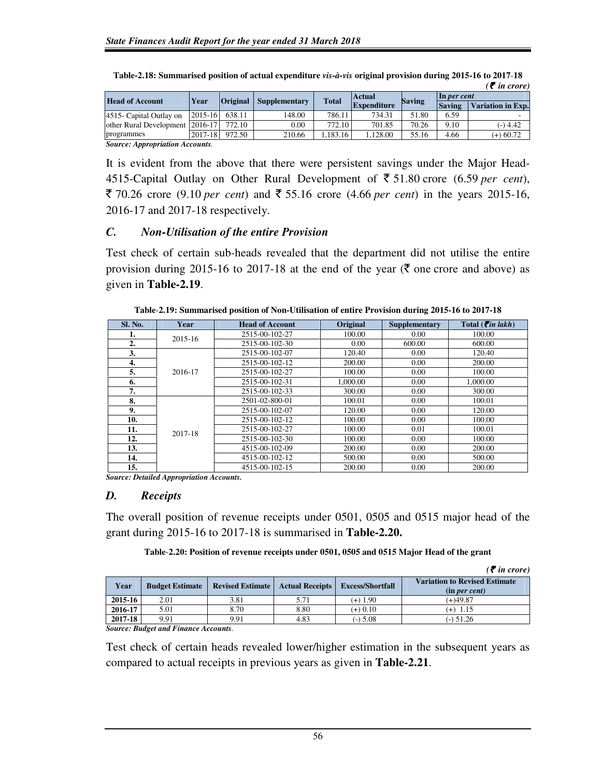| <b>Head of Account</b>          | Year        | <b>Original</b> |                      | <b>Total</b> | <b>Actual</b>      | <b>Saving</b> | $\ln$ per cent |                          |
|---------------------------------|-------------|-----------------|----------------------|--------------|--------------------|---------------|----------------|--------------------------|
|                                 |             |                 | <b>Supplementary</b> |              | <b>Expenditure</b> |               | <b>Saving</b>  | <b>Variation in Exp.</b> |
| 4515 - Capital Outlay on        | $2015 - 16$ | 638.11          | 148.00               | 786.11       | 734.31             | 51.80         | 6.59           |                          |
| other Rural Development 2016-17 |             | 772.10          | 0.00                 | 772.10       | 701.85             | 70.26         | 9.10           | $(-)$ 4.42               |
| programmes                      | $2017 - 18$ | 972.50          | 210.66               | .183.16      | .128.00            | 55.16         | 4.66           | $(+)$ 60.72              |

| Table-2.18: Summarised position of actual expenditure vis-à-vis original provision during 2015-16 to 2017-18 |                         |
|--------------------------------------------------------------------------------------------------------------|-------------------------|
|                                                                                                              | $\mathcal{F}$ in crore) |

*Source: Appropriation Accounts.* 

It is evident from the above that there were persistent savings under the Major Head-4515-Capital Outlay on Other Rural Development of  $\bar{\tau}$  51.80 crore (6.59 *per cent*),  $\bar{\xi}$  70.26 crore (9.10 *per cent*) and  $\bar{\xi}$  55.16 crore (4.66 *per cent*) in the years 2015-16, 2016-17 and 2017-18 respectively.

### *C. Non-Utilisation of the entire Provision*

Test check of certain sub-heads revealed that the department did not utilise the entire provision during 2015-16 to 2017-18 at the end of the year ( $\bar{\tau}$  one crore and above) as given in **Table-2.19**.

| Sl. No. | Year    | <b>Head of Account</b> | Original | Supplementary | Total ( $\bar{\tau}$ <i>in lakh</i> ) |
|---------|---------|------------------------|----------|---------------|---------------------------------------|
| 1.      | 2015-16 | 2515-00-102-27         | 100.00   | 0.00          | 100.00                                |
| 2.      |         | 2515-00-102-30         | 0.00     | 600.00        | 600.00                                |
| 3.      |         | 2515-00-102-07         | 120.40   | 0.00          | 120.40                                |
| 4.      |         | 2515-00-102-12         | 200.00   | 0.00          | 200.00                                |
| 5.      | 2016-17 | 2515-00-102-27         | 100.00   | 0.00          | 100.00                                |
| 6.      |         | 2515-00-102-31         | 1,000.00 | 0.00          | 1,000.00                              |
| 7.      |         | 2515-00-102-33         | 300.00   | 0.00          | 300.00                                |
| 8.      |         | 2501-02-800-01         | 100.01   | 0.00          | 100.01                                |
| 9.      |         | 2515-00-102-07         | 120.00   | 0.00          | 120.00                                |
| 10.     |         | 2515-00-102-12         | 100.00   | 0.00          | 100.00                                |
| 11.     |         | 2515-00-102-27         | 100.00   | 0.01          | 100.01                                |
| 12.     | 2017-18 | 2515-00-102-30         | 100.00   | 0.00          | 100.00                                |
| 13.     |         | 4515-00-102-09         | 200.00   | 0.00          | 200.00                                |
| 14.     |         | 4515-00-102-12         | 500.00   | 0.00          | 500.00                                |
| 15.     |         | 4515-00-102-15         | 200.00   | 0.00          | 200.00                                |

**Table**-**2.19: Summarised position of Non-Utilisation of entire Provision during 2015-16 to 2017-18** 

*Source: Detailed Appropriation Accounts.* 

### *D. Receipts*

The overall position of revenue receipts under 0501, 0505 and 0515 major head of the grant during 2015-16 to 2017-18 is summarised in **Table-2.20.** 

**Table**-**2.20: Position of revenue receipts under 0501, 0505 and 0515 Major Head of the grant**

|         |                                            |                         |                        |                         | $\bar{\mathcal{F}}$ in crore)                         |
|---------|--------------------------------------------|-------------------------|------------------------|-------------------------|-------------------------------------------------------|
| Year    | <b>Budget Estimate</b>                     | <b>Revised Estimate</b> | <b>Actual Receipts</b> | <b>Excess/Shortfall</b> | <b>Variation to Revised Estimate</b><br>(in per cent) |
| 2015-16 | 2.01                                       | 3.81                    | 5.71                   | $(+)$ 1.90              | $(+)49.87$                                            |
| 2016-17 | 5.01                                       | 8.70                    | 8.80                   | $(+) 0.10$              | $(+)$ 1.15                                            |
| 2017-18 | 9.91                                       | 9.91                    | 4.83                   | $(-)$ 5.08              | $(-)$ 51.26                                           |
|         | <b>Course: Rudget and Finance Accounts</b> |                         |                        |                         |                                                       |

*Source: Budget and Finance Accounts.* 

Test check of certain heads revealed lower/higher estimation in the subsequent years as compared to actual receipts in previous years as given in **Table-2.21**.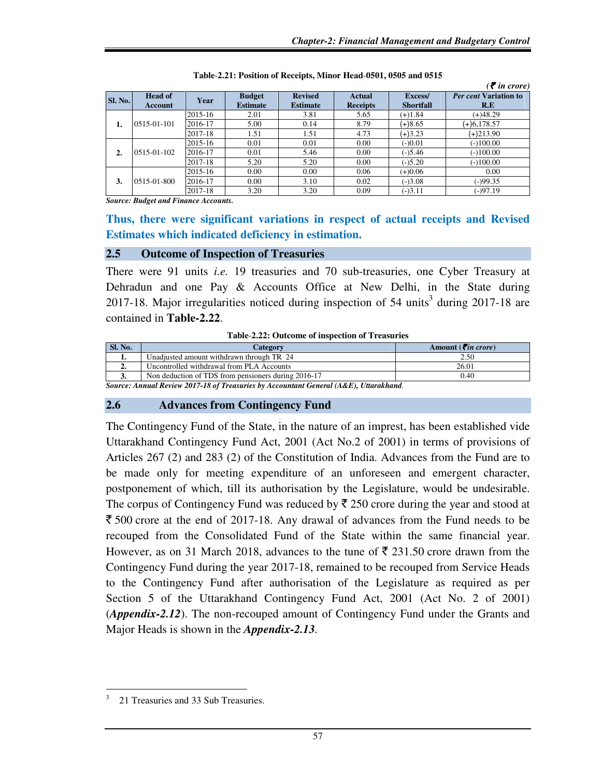|                   |                           |         |                                  |                                   |                                  |                             | $\bar{\mathcal{F}}$ in crore)       |
|-------------------|---------------------------|---------|----------------------------------|-----------------------------------|----------------------------------|-----------------------------|-------------------------------------|
| <b>Sl. No.</b>    | <b>Head of</b><br>Account | Year    | <b>Budget</b><br><b>Estimate</b> | <b>Revised</b><br><b>Estimate</b> | <b>Actual</b><br><b>Receipts</b> | Excess/<br><b>Shortfall</b> | <b>Per cent Variation to</b><br>R.E |
|                   |                           | 2015-16 | 2.01                             | 3.81                              | 5.65                             | $(+)1.84$                   | $(+)48.29$                          |
| 1.                | 0515-01-101               | 2016-17 | 5.00                             | 0.14                              | 8.79                             | $(+)8.65$                   | $(+)6,178.57$                       |
|                   |                           | 2017-18 | 1.51                             | 1.51                              | 4.73                             | $(+)3.23$                   | $(+)213.90$                         |
|                   |                           | 2015-16 | 0.01                             | 0.01                              | 0.00                             | $(-)0.01$                   | $(-100.00)$                         |
| 2.                | $0.515 - 0.1102$          | 2016-17 | 0.01                             | 5.46                              | 0.00                             | $(-)5.46$                   | $(-100.00)$                         |
|                   |                           | 2017-18 | 5.20                             | 5.20                              | 0.00                             | $(-)5.20$                   | $(-100.00)$                         |
| 3.<br>0515-01-800 | 2015-16                   | 0.00    | 0.00                             | 0.06                              | $(+)0.06$                        | 0.00                        |                                     |
|                   |                           | 2016-17 | 0.00                             | 3.10                              | 0.02                             | $(-)3.08$                   | $(-)99.35$                          |
|                   |                           | 2017-18 | 3.20                             | 3.20                              | 0.09                             | $(-)3.11$                   | $(-)97.19$                          |

**Table**-**2.21: Position of Receipts, Minor Head**-**0501, 0505 and 0515** 

*Source: Budget and Finance Accounts.* 

**Thus, there were significant variations in respect of actual receipts and Revised Estimates which indicated deficiency in estimation.**

### **2.5 Outcome of Inspection of Treasuries**

There were 91 units *i.e.* 19 treasuries and 70 sub-treasuries, one Cyber Treasury at Dehradun and one Pay & Accounts Office at New Delhi, in the State during 2017-18. Major irregularities noticed during inspection of 54 units<sup>3</sup> during 2017-18 are contained in **Table-2.22**.

**Table**-**2.22: Outcome of inspection of Treasuries** 

| <b>Sl. No.</b>                                                                      | Category                                            | Amount ( $\vec{\tau}$ in crore) |  |  |  |
|-------------------------------------------------------------------------------------|-----------------------------------------------------|---------------------------------|--|--|--|
|                                                                                     | Unadiusted amount withdrawn through TR 24           | 2.50                            |  |  |  |
| ٠.                                                                                  | Uncontrolled withdrawal from PLA Accounts           | 26.01                           |  |  |  |
| v.                                                                                  | Non deduction of TDS from pensioners during 2016-17 | 0.40                            |  |  |  |
| Source: Annual Review 2017-18 of Treasuries by Accountant General (A&E) Uttarakhand |                                                     |                                 |  |  |  |

*Source: Annual Review 2017-18 of Treasuries by Accountant General (A&E), Uttarakhand.* 

### **2.6 Advances from Contingency Fund**

The Contingency Fund of the State, in the nature of an imprest, has been established vide Uttarakhand Contingency Fund Act, 2001 (Act No.2 of 2001) in terms of provisions of Articles 267 (2) and 283 (2) of the Constitution of India. Advances from the Fund are to be made only for meeting expenditure of an unforeseen and emergent character, postponement of which, till its authorisation by the Legislature, would be undesirable. The corpus of Contingency Fund was reduced by  $\bar{\xi}$  250 crore during the year and stood at  $\bar{\xi}$  500 crore at the end of 2017-18. Any drawal of advances from the Fund needs to be recouped from the Consolidated Fund of the State within the same financial year. However, as on 31 March 2018, advances to the tune of  $\bar{\xi}$  231.50 crore drawn from the Contingency Fund during the year 2017-18, remained to be recouped from Service Heads to the Contingency Fund after authorisation of the Legislature as required as per Section 5 of the Uttarakhand Contingency Fund Act, 2001 (Act No. 2 of 2001) (*Appendix-2.12*). The non-recouped amount of Contingency Fund under the Grants and Major Heads is shown in the *Appendix-2.13.*

l 3 21 Treasuries and 33 Sub Treasuries.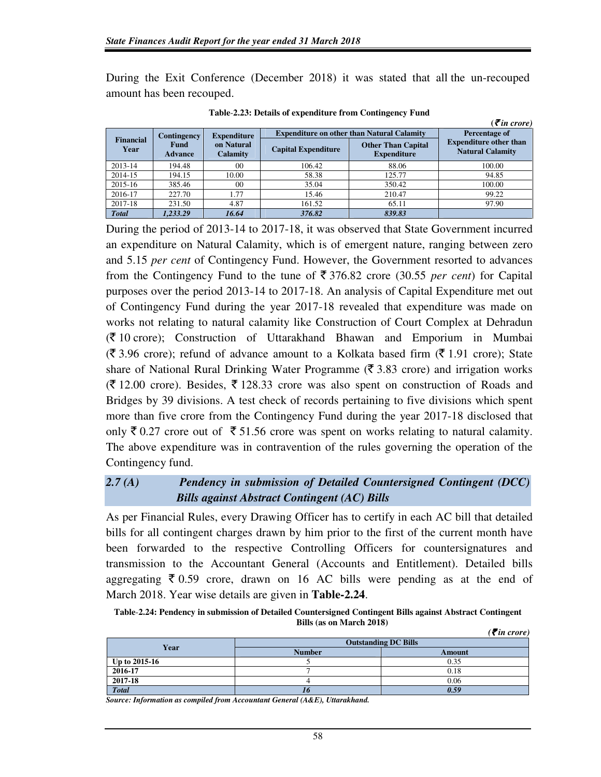During the Exit Conference (December 2018) it was stated that all the un-recouped amount has been recouped.

|                                          |                               |                                                   |                            |                                                 | $( \bar{\mathbf{z}}$ in crore)                           |
|------------------------------------------|-------------------------------|---------------------------------------------------|----------------------------|-------------------------------------------------|----------------------------------------------------------|
| <b>Expenditure</b><br><b>Contingency</b> |                               | <b>Expenditure on other than Natural Calamity</b> | Percentage of              |                                                 |                                                          |
| <b>Financial</b><br>Year                 | <b>Fund</b><br><b>Advance</b> | on Natural<br><b>Calamity</b>                     | <b>Capital Expenditure</b> | <b>Other Than Capital</b><br><b>Expenditure</b> | <b>Expenditure other than</b><br><b>Natural Calamity</b> |
| 2013-14                                  | 194.48                        | 0 <sup>0</sup>                                    | 106.42                     | 88.06                                           | 100.00                                                   |
| 2014-15                                  | 194.15                        | 10.00                                             | 58.38                      | 125.77                                          | 94.85                                                    |
| 2015-16                                  | 385.46                        | 0 <sup>0</sup>                                    | 35.04                      | 350.42                                          | 100.00                                                   |
| 2016-17                                  | 227.70                        | 1.77                                              | 15.46                      | 210.47                                          | 99.22                                                    |
| 2017-18                                  | 231.50                        | 4.87                                              | 161.52                     | 65.11                                           | 97.90                                                    |
| <b>Total</b>                             | 1.233.29                      | 16.64                                             | 376.82                     | 839.83                                          |                                                          |

**Table**-**2.23: Details of expenditure from Contingency Fund** 

During the period of 2013-14 to 2017-18, it was observed that State Government incurred an expenditure on Natural Calamity, which is of emergent nature, ranging between zero and 5.15 *per cent* of Contingency Fund. However, the Government resorted to advances from the Contingency Fund to the tune of  $\bar{\mathfrak{F}}$  376.82 crore (30.55 *per cent*) for Capital purposes over the period 2013-14 to 2017-18. An analysis of Capital Expenditure met out of Contingency Fund during the year 2017-18 revealed that expenditure was made on works not relating to natural calamity like Construction of Court Complex at Dehradun  $(\bar{\tau})$  10 crore); Construction of Uttarakhand Bhawan and Emporium in Mumbai  $(\bar{\mathfrak{F}} 3.96$  crore); refund of advance amount to a Kolkata based firm  $(\bar{\mathfrak{F}} 1.91$  crore); State share of National Rural Drinking Water Programme ( $\bar{\tau}$  3.83 crore) and irrigation works  $(\bar{\mathcal{F}} 12.00 \text{ error})$ . Besides,  $\bar{\mathcal{F}} 128.33$  crore was also spent on construction of Roads and Bridges by 39 divisions. A test check of records pertaining to five divisions which spent more than five crore from the Contingency Fund during the year 2017-18 disclosed that only  $\bar{\xi}$  0.27 crore out of  $\bar{\xi}$  51.56 crore was spent on works relating to natural calamity. The above expenditure was in contravention of the rules governing the operation of the Contingency fund.

# *2.7 (A) Pendency in submission of Detailed Countersigned Contingent (DCC) Bills against Abstract Contingent (AC) Bills*

As per Financial Rules, every Drawing Officer has to certify in each AC bill that detailed bills for all contingent charges drawn by him prior to the first of the current month have been forwarded to the respective Controlling Officers for countersignatures and transmission to the Accountant General (Accounts and Entitlement). Detailed bills aggregating  $\bar{\xi}$  0.59 crore, drawn on 16 AC bills were pending as at the end of March 2018. Year wise details are given in **Table-2.24**.

**Table**-**2.24: Pendency in submission of Detailed Countersigned Contingent Bills against Abstract Contingent Bills (as on March 2018)**  *(*` *in crore)* 

|               | $(5$ in crore)<br><b>Outstanding DC Bills</b> |        |  |  |
|---------------|-----------------------------------------------|--------|--|--|
| Year          | <b>Number</b>                                 | Amount |  |  |
| Up to 2015-16 |                                               | 0.35   |  |  |
| 2016-17       |                                               | 0.18   |  |  |
| 2017-18       |                                               | 0.06   |  |  |
| <b>Total</b>  |                                               | 0.59   |  |  |

*Source: Information as compiled from Accountant General (A&E), Uttarakhand.*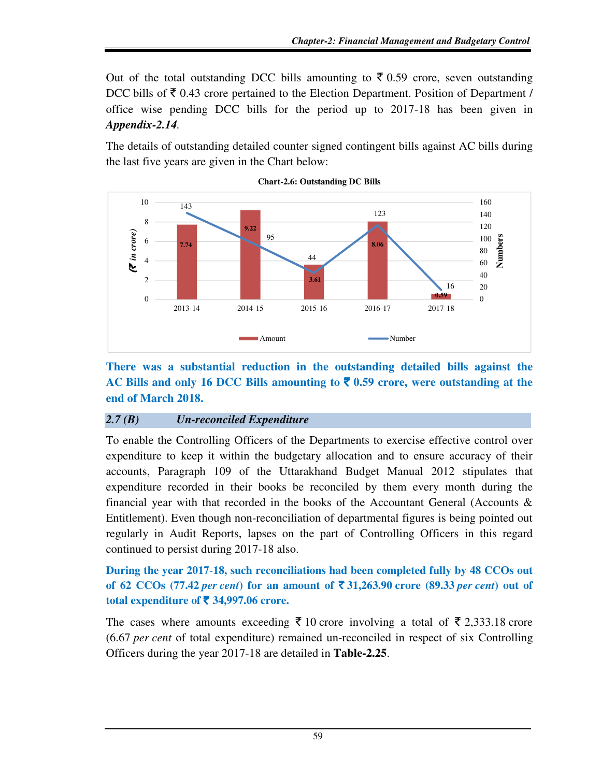Out of the total outstanding DCC bills amounting to  $\bar{\zeta}$  0.59 crore, seven outstanding DCC bills of  $\bar{\tau}$  0.43 crore pertained to the Election Department. Position of Department / office wise pending DCC bills for the period up to 2017-18 has been given in *Appendix-2.14.* 

The details of outstanding detailed counter signed contingent bills against AC bills during the last five years are given in the Chart below:



**Chart-2.6: Outstanding DC Bills** 

**There was a substantial reduction in the outstanding detailed bills against the**  AC Bills and only 16 DCC Bills amounting to  $\bar{\tau}$  0.59 crore, were outstanding at the **end of March 2018.** 

# *2.7 (B) Un-reconciled Expenditure*

To enable the Controlling Officers of the Departments to exercise effective control over expenditure to keep it within the budgetary allocation and to ensure accuracy of their accounts, Paragraph 109 of the Uttarakhand Budget Manual 2012 stipulates that expenditure recorded in their books be reconciled by them every month during the financial year with that recorded in the books of the Accountant General (Accounts  $\&$ Entitlement). Even though non-reconciliation of departmental figures is being pointed out regularly in Audit Reports, lapses on the part of Controlling Officers in this regard continued to persist during 2017-18 also.

**During the year 2017**-**18, such reconciliations had been completed fully by 48 CCOs out of 62 CCOs (77.42** *per cent***) for an amount of**  $\overline{\xi}$  **31,263.90 crore (89.33** *per cent***) out of total expenditure of** ` **34,997.06 crore.** 

The cases where amounts exceeding  $\bar{\tau}$  10 crore involving a total of  $\bar{\tau}$  2,333.18 crore (6.67 *per cent* of total expenditure) remained un-reconciled in respect of six Controlling Officers during the year 2017-18 are detailed in **Table-2.25**.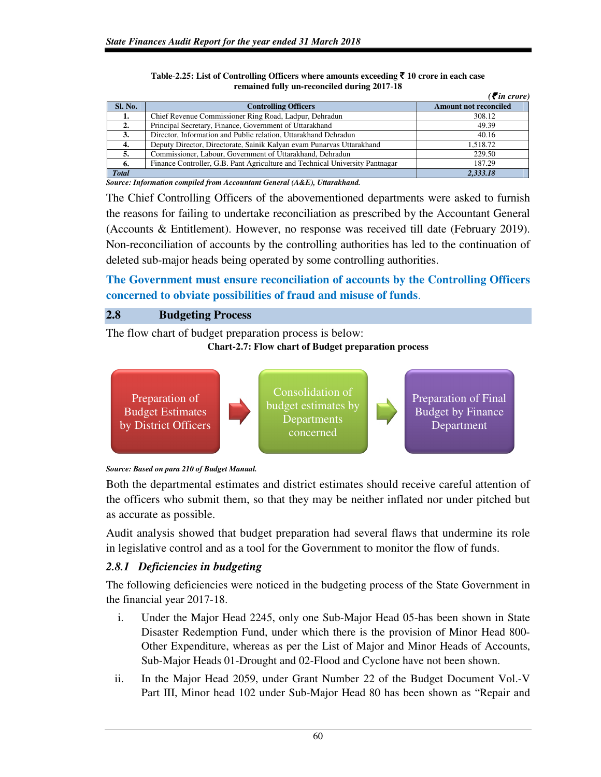|                |                                                                              | $\mathcal{F}$ in crore)      |
|----------------|------------------------------------------------------------------------------|------------------------------|
| <b>Sl. No.</b> | <b>Controlling Officers</b>                                                  | <b>Amount not reconciled</b> |
|                | Chief Revenue Commissioner Ring Road, Ladpur, Dehradun                       | 308.12                       |
|                | Principal Secretary, Finance, Government of Uttarakhand                      | 49.39                        |
| 3.             | Director, Information and Public relation, Uttarakhand Dehradun              | 40.16                        |
| 4.             | Deputy Director, Directorate, Sainik Kalyan evam Punarvas Uttarakhand        | 1.518.72                     |
| 5.             | Commissioner, Labour, Government of Uttarakhand, Dehradun                    | 229.50                       |
| 6.             | Finance Controller, G.B. Pant Agriculture and Technical University Pantnagar | 187.29                       |
| <b>Total</b>   |                                                                              | 2.333.18                     |

**Table**-**2.25: List of Controlling Officers where amounts exceeding** ` **10 crore in each case remained fully un-reconciled during 2017**-**18** 

*Source: Information compiled from Accountant General (A&E), Uttarakhand.* 

The Chief Controlling Officers of the abovementioned departments were asked to furnish the reasons for failing to undertake reconciliation as prescribed by the Accountant General (Accounts & Entitlement). However, no response was received till date (February 2019). Non-reconciliation of accounts by the controlling authorities has led to the continuation of deleted sub-major heads being operated by some controlling authorities.

**The Government must ensure reconciliation of accounts by the Controlling Officers concerned to obviate possibilities of fraud and misuse of funds**.

# **2.8 Budgeting Process**

The flow chart of budget preparation process is below:

### **Chart-2.7: Flow chart of Budget preparation process**





Both the departmental estimates and district estimates should receive careful attention of the officers who submit them, so that they may be neither inflated nor under pitched but as accurate as possible.

Audit analysis showed that budget preparation had several flaws that undermine its role in legislative control and as a tool for the Government to monitor the flow of funds.

# *2.8.1 Deficiencies in budgeting*

The following deficiencies were noticed in the budgeting process of the State Government in the financial year 2017-18.

- i. Under the Major Head 2245, only one Sub-Major Head 05-has been shown in State Disaster Redemption Fund, under which there is the provision of Minor Head 800- Other Expenditure, whereas as per the List of Major and Minor Heads of Accounts, Sub-Major Heads 01-Drought and 02-Flood and Cyclone have not been shown.
- ii. In the Major Head 2059, under Grant Number 22 of the Budget Document Vol.-V Part III, Minor head 102 under Sub-Major Head 80 has been shown as "Repair and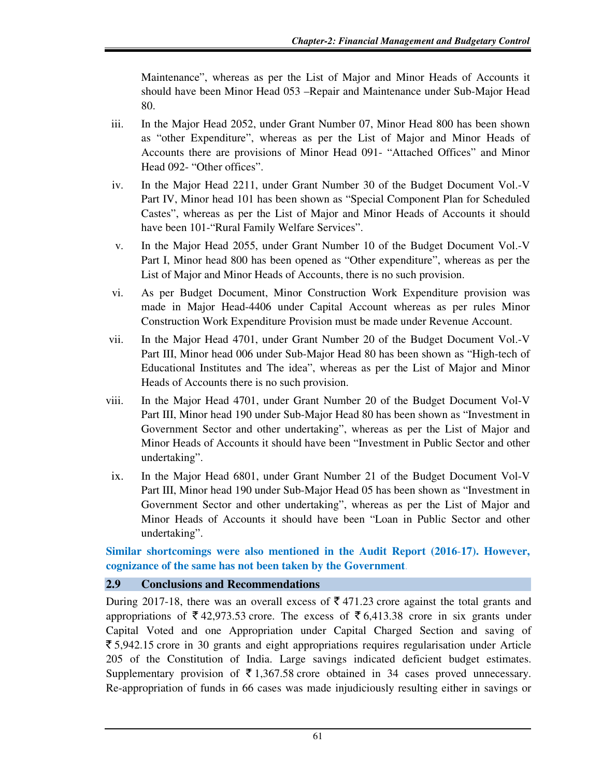Maintenance", whereas as per the List of Major and Minor Heads of Accounts it should have been Minor Head 053 –Repair and Maintenance under Sub-Major Head 80.

- iii. In the Major Head 2052, under Grant Number 07, Minor Head 800 has been shown as "other Expenditure", whereas as per the List of Major and Minor Heads of Accounts there are provisions of Minor Head 091- "Attached Offices" and Minor Head 092- "Other offices".
- iv. In the Major Head 2211, under Grant Number 30 of the Budget Document Vol.-V Part IV, Minor head 101 has been shown as "Special Component Plan for Scheduled Castes", whereas as per the List of Major and Minor Heads of Accounts it should have been 101-"Rural Family Welfare Services".
- v. In the Major Head 2055, under Grant Number 10 of the Budget Document Vol.-V Part I, Minor head 800 has been opened as "Other expenditure", whereas as per the List of Major and Minor Heads of Accounts, there is no such provision.
- vi. As per Budget Document, Minor Construction Work Expenditure provision was made in Major Head-4406 under Capital Account whereas as per rules Minor Construction Work Expenditure Provision must be made under Revenue Account.
- vii. In the Major Head 4701, under Grant Number 20 of the Budget Document Vol.-V Part III, Minor head 006 under Sub-Major Head 80 has been shown as "High-tech of Educational Institutes and The idea", whereas as per the List of Major and Minor Heads of Accounts there is no such provision.
- viii. In the Major Head 4701, under Grant Number 20 of the Budget Document Vol-V Part III, Minor head 190 under Sub-Major Head 80 has been shown as "Investment in Government Sector and other undertaking", whereas as per the List of Major and Minor Heads of Accounts it should have been "Investment in Public Sector and other undertaking".
- ix. In the Major Head 6801, under Grant Number 21 of the Budget Document Vol-V Part III, Minor head 190 under Sub-Major Head 05 has been shown as "Investment in Government Sector and other undertaking", whereas as per the List of Major and Minor Heads of Accounts it should have been "Loan in Public Sector and other undertaking".

**Similar shortcomings were also mentioned in the Audit Report (2016**-**17). However, cognizance of the same has not been taken by the Government**.

# **2.9 Conclusions and Recommendations**

During 2017-18, there was an overall excess of  $\bar{\tau}$  471.23 crore against the total grants and appropriations of  $\bar{\xi}$  42,973.53 crore. The excess of  $\bar{\xi}$  6,413.38 crore in six grants under Capital Voted and one Appropriation under Capital Charged Section and saving of  $\bar{\xi}$  5,942.15 crore in 30 grants and eight appropriations requires regularisation under Article 205 of the Constitution of India. Large savings indicated deficient budget estimates. Supplementary provision of  $\bar{\tau}$  1,367.58 crore obtained in 34 cases proved unnecessary. Re-appropriation of funds in 66 cases was made injudiciously resulting either in savings or